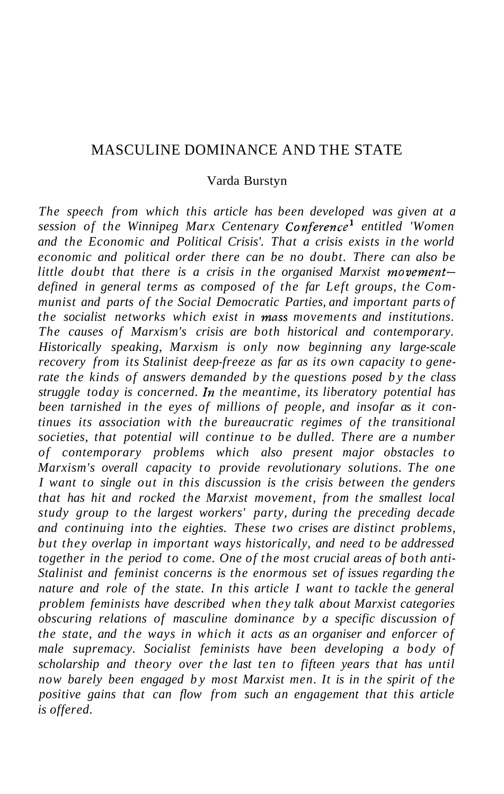# MASCULINE DOMINANCE AND THE STATE

#### Varda Burstyn

*The speech from which this article has been developed was given at a session of the Winnipeg Marx Centenary conference1 entitled 'Women and the Economic and Political Crisis'. That a crisis exists in the world economic and political order there can be no doubt. There can also be little doubt that there is a crisis in the organised Marxist movementdefined in general terms as composed of the far Left groups, the Communist and parts of the Social Democratic Parties, and important parts of the socialist networks which exist in mass movements and institutions. The causes of Marxism's crisis are both historical and contemporary. Historically speaking, Marxism is only now beginning any large-scale recovery from its Stalinist deep-freeze as far as its own capacity to generate the kinds of answers demanded by the questions posed by the class struggle today is concerned. In the meantime, its liberatory potential has been tarnished in the eyes of millions of people, and insofar as it continues its association with the bureaucratic regimes of the transitional societies, that potential will continue to be dulled. There are a number of contemporary problems which also present major obstacles to Marxism's overall capacity to provide revolutionary solutions. The one I* want to single out in this discussion is the crisis between the genders *that has hit and rocked the Marxist movement, from the smallest local study group to the largest workers' party, during the preceding decade and continuing into the eighties. These two crises are distinct problems, but they overlap in important ways historically, and need to be addressed together in the period to come. One of the most crucial areas of both anti-Stalinist and feminist concerns is the enormous set of issues regarding the nature and role of the state. In this article I want to tackle the general problem feminists have described when they talk about Marxist categories obscuring relations of masculine dominance by a specific discussion of the state, and the ways in which it acts as an organiser and enforcer of male supremacy. Socialist feminists have been developing a body of scholarship and theory over the last ten to fifteen years that has until now barely been engaged by most Marxist men. It is in the spirit of the positive gains that can flow from such an engagement that this article is offered.*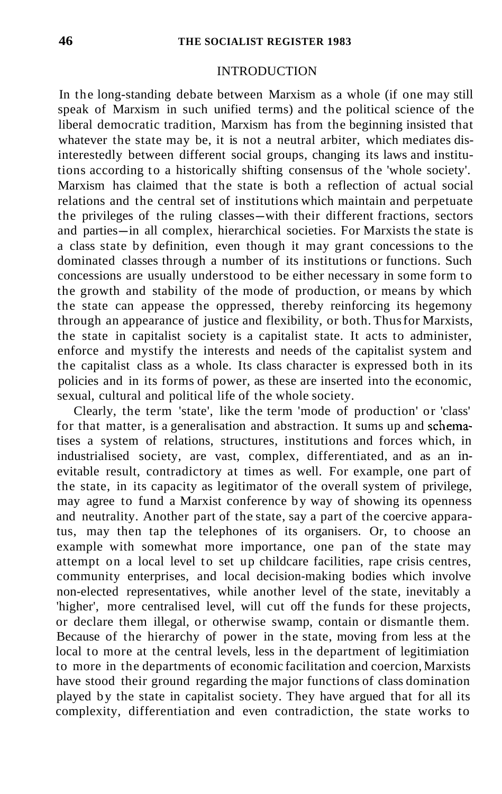#### INTRODUCTION

In the long-standing debate between Marxism as a whole (if one may still speak of Marxism in such unified terms) and the political science of the liberal democratic tradition, Marxism has from the beginning insisted that whatever the state may be, it is not a neutral arbiter, which mediates disinterestedly between different social groups, changing its laws and institutions according to a historically shifting consensus of the 'whole society'. Marxism has claimed that the state is both a reflection of actual social relations and the central set of institutions which maintain and perpetuate the privileges of the ruling classes-with their different fractions, sectors and parties-in all complex, hierarchical societies. For Marxists the state is a class state by definition, even though it may grant concessions to the dominated classes through a number of its institutions or functions. Such concessions are usually understood to be either necessary in some form to the growth and stability of the mode of production, or means by which the state can appease the oppressed, thereby reinforcing its hegemony through an appearance of justice and flexibility, or both. Thus for Marxists, the state in capitalist society is a capitalist state. It acts to administer, enforce and mystify the interests and needs of the capitalist system and the capitalist class as a whole. Its class character is expressed both in its policies and in its forms of power, as these are inserted into the economic, sexual, cultural and political life of the whole society.

Clearly, the term 'state', like the term 'mode of production' or 'class' for that matter, is a generalisation and abstraction. It sums up and schematises a system of relations, structures, institutions and forces which, in industrialised society, are vast, complex, differentiated, and as an inevitable result, contradictory at times as well. For example, one part of the state, in its capacity as legitimator of the overall system of privilege, may agree to fund a Marxist conference by way of showing its openness and neutrality. Another part of the state, say a part of the coercive apparatus, may then tap the telephones of its organisers. Or, to choose an example with somewhat more importance, one pan of the state may attempt on a local level to set up childcare facilities, rape crisis centres, community enterprises, and local decision-making bodies which involve non-elected representatives, while another level of the state, inevitably a 'higher', more centralised level, will cut off the funds for these projects, or declare them illegal, or otherwise swamp, contain or dismantle them. Because of the hierarchy of power in the state, moving from less at the local to more at the central levels, less in the department of legitimiation to more in the departments of economic facilitation and coercion, Marxists have stood their ground regarding the major functions of class domination played by the state in capitalist society. They have argued that for all its complexity, differentiation and even contradiction, the state works to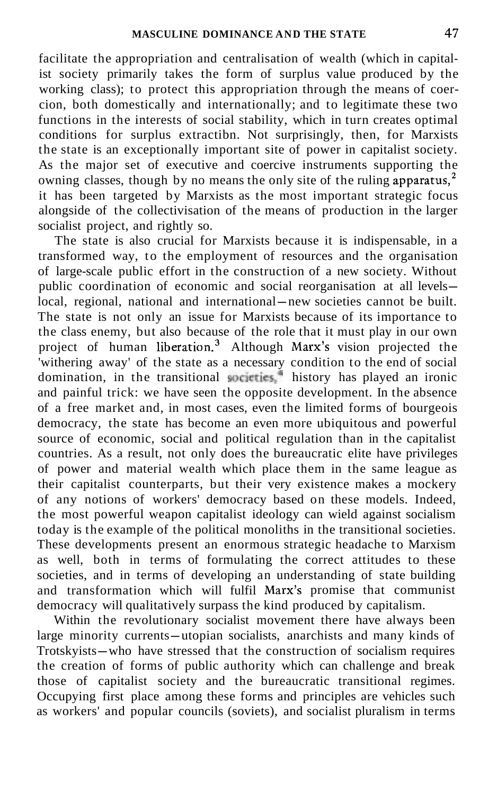facilitate the appropriation and centralisation of wealth (which in capitalist society primarily takes the form of surplus value produced by the working class); to protect this appropriation through the means of coercion, both domestically and internationally; and to legitimate these two functions in the interests of social stability, which in turn creates optimal conditions for surplus extractibn. Not surprisingly, then, for Marxists the state is an exceptionally important site of power in capitalist society. As the major set of executive and coercive instruments supporting the owning classes, though by no means the only site of the ruling apparatus, $\frac{2}{3}$ it has been targeted by Marxists as the most important strategic focus alongside of the collectivisation of the means of production in the larger socialist project, and rightly so.

The state is also crucial for Marxists because it is indispensable, in a transformed way, to the employment of resources and the organisation of large-scale public effort in the construction of a new society. Without public coordination of economic and social reorganisation at all levelslocal, regional, national and international—new societies cannot be built. The state is not only an issue for Marxists because of its importance to the class enemy, but also because of the role that it must play in our own project of human liberation.<sup>3</sup> Although Marx's vision projected the 'withering away' of the state as a necessary condition to the end of social domination, in the transitional societies, $*$  history has played an ironic and painful trick: we have seen the opposite development. In the absence of a free market and, in most cases, even the limited forms of bourgeois democracy, the state has become an even more ubiquitous and powerful source of economic, social and political regulation than in the capitalist countries. As a result, not only does the bureaucratic elite have privileges of power and material wealth which place them in the same league as their capitalist counterparts, but their very existence makes a mockery of any notions of workers' democracy based on these models. Indeed, the most powerful weapon capitalist ideology can wield against socialism today is the example of the political monoliths in the transitional societies. These developments present an enormous strategic headache to Marxism as well, both in terms of formulating the correct attitudes to these societies, and in terms of developing an understanding of state building and transformation which will fulfil Marx's promise that communist democracy will qualitatively surpass the kind produced by capitalism.

Within the revolutionary socialist movement there have always been large minority currents-utopian socialists, anarchists and many kinds of Trotskyists-who have stressed that the construction of socialism requires the creation of forms of public authority which can challenge and break those of capitalist society and the bureaucratic transitional regimes. Occupying first place among these forms and principles are vehicles such as workers' and popular councils (soviets), and socialist pluralism in terms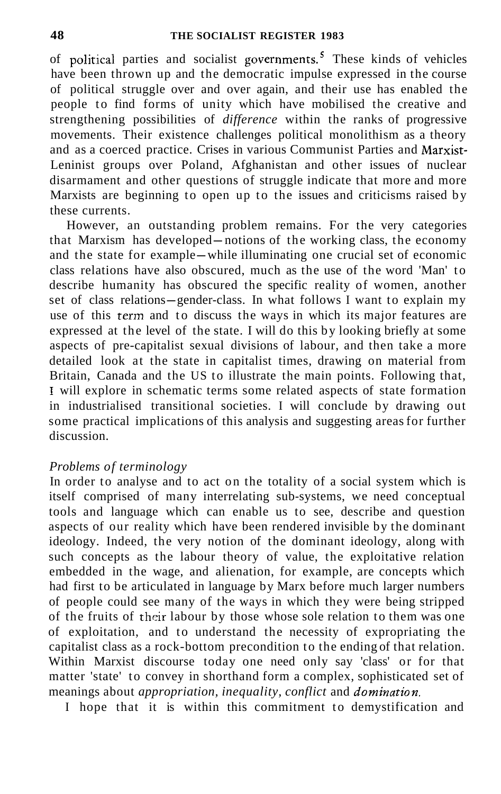of political parties and socialist governments.<sup>5</sup> These kinds of vehicles have been thrown up and the democratic impulse expressed in the course of political struggle over and over again, and their use has enabled the people to find forms of unity which have mobilised the creative and strengthening possibilities of *difference* within the ranks of progressive movements. Their existence challenges political monolithism as a theory and as a coerced practice. Crises in various Communist Parties and Marxist-Leninist groups over Poland, Afghanistan and other issues of nuclear disarmament and other questions of struggle indicate that more and more Marxists are beginning to open up to the issues and criticisms raised by these currents.

However, an outstanding problem remains. For the very categories that Marxism has developed-notions of the working class, the economy and the state for example-while illuminating one crucial set of economic class relations have also obscured, much as the use of the word 'Man' to describe humanity has obscured the specific reality of women, another set of class relations-gender-class. In what follows I want to explain my use of this term and to discuss the ways in which its major features are expressed at the level of the state. I will do this by looking briefly at some aspects of pre-capitalist sexual divisions of labour, and then take a more detailed look at the state in capitalist times, drawing on material from Britain, Canada and the US to illustrate the main points. Following that, **<sup>I</sup>**will explore in schematic terms some related aspects of state formation in industrialised transitional societies. I will conclude by drawing out some practical implications of this analysis and suggesting areas for further discussion.

# *Problems of terminology*

In order to analyse and to act on the totality of a social system which is itself comprised of many interrelating sub-systems, we need conceptual tools and language which can enable us to see, describe and question aspects of our reality which have been rendered invisible by the dominant ideology. Indeed, the very notion of the dominant ideology, along with such concepts as the labour theory of value, the exploitative relation embedded in the wage, and alienation, for example, are concepts which had first to be articulated in language by Marx before much larger numbers of people could see many of the ways in which they were being stripped of the fruits of their labour by those whose sole relation to them was one of exploitation, and to understand the necessity of expropriating the capitalist class as a rock-bottom precondition to the ending of that relation. Within Marxist discourse today one need only say 'class' or for that matter 'state' to convey in shorthand form a complex, sophisticated set of meanings about *appropriation, inequality, conflict* and *domination.* 

I hope that it is within this commitment to demystification and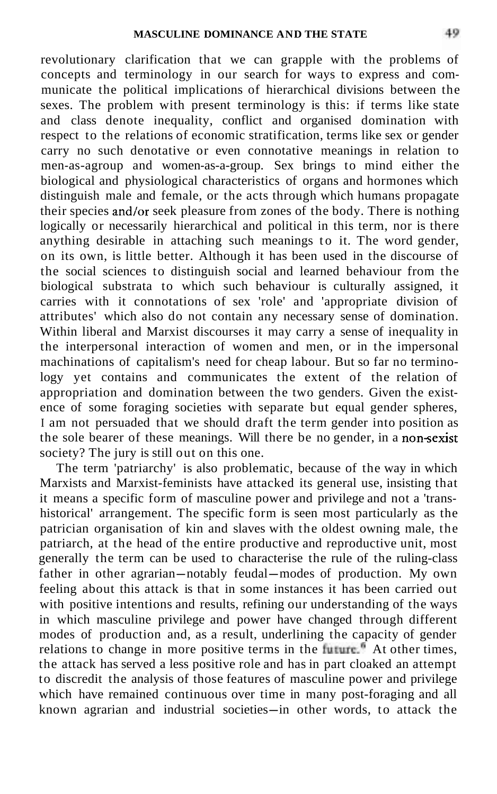revolutionary clarification that we can grapple with the problems of concepts and terminology in our search for ways to express and communicate the political implications of hierarchical divisions between the sexes. The problem with present terminology is this: if terms like state and class denote inequality, conflict and organised domination with respect to the relations of economic stratification, terms like sex or gender carry no such denotative or even connotative meanings in relation to men-as-agroup and women-as-a-group. Sex brings to mind either the biological and physiological characteristics of organs and hormones which distinguish male and female, or the acts through which humans propagate their species and/or seek pleasure from zones of the body. There is nothing logically or necessarily hierarchical and political in this term, nor is there anything desirable in attaching such meanings to it. The word gender, on its own, is little better. Although it has been used in the discourse of the social sciences to distinguish social and learned behaviour from the biological substrata to which such behaviour is culturally assigned, it carries with it connotations of sex 'role' and 'appropriate division of attributes' which also do not contain any necessary sense of domination. Within liberal and Marxist discourses it may carry a sense of inequality in the interpersonal interaction of women and men, or in the impersonal machinations of capitalism's need for cheap labour. But so far no terminology yet contains and communicates the extent of the relation of appropriation and domination between the two genders. Given the existence of some foraging societies with separate but equal gender spheres, I am not persuaded that we should draft the term gender into position as the sole bearer of these meanings. Will there be no gender, in a nonsexist society? The jury is still out on this one.

The term 'patriarchy' is also problematic, because of the way in which Marxists and Marxist-feminists have attacked its general use, insisting that it means a specific form of masculine power and privilege and not a 'transhistorical' arrangement. The specific form is seen most particularly as the patrician organisation of kin and slaves with the oldest owning male, the patriarch, at the head of the entire productive and reproductive unit, most generally the term can be used to characterise the rule of the ruling-class father in other agrarian-notably feudal-modes of production. My own feeling about this attack is that in some instances it has been carried out with positive intentions and results, refining our understanding of the ways in which masculine privilege and power have changed through different modes of production and, as a result, underlining the capacity of gender relations to change in more positive terms in the future.<sup> $\oint$ </sup> At other times, the attack has served a less positive role and has in part cloaked an attempt to discredit the analysis of those features of masculine power and privilege which have remained continuous over time in many post-foraging and all known agrarian and industrial societies-in other words, to attack the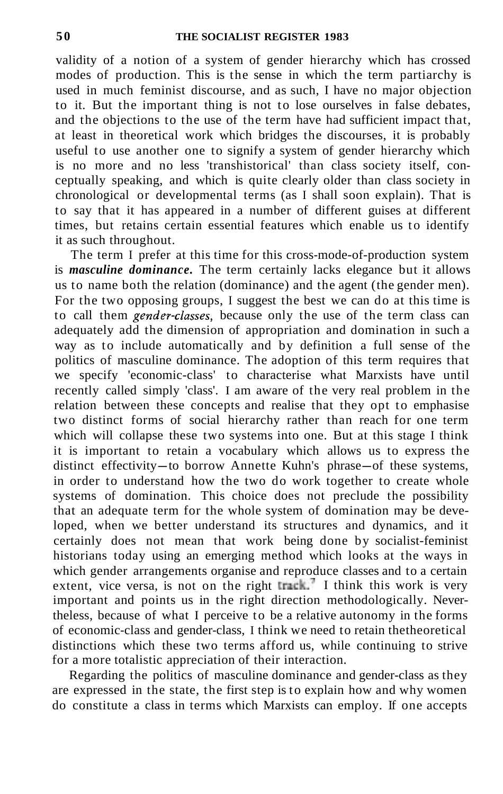validity of a notion of a system of gender hierarchy which has crossed modes of production. This is the sense in which the term partiarchy is used in much feminist discourse, and as such, I have no major objection to it. But the important thing is not to lose ourselves in false debates, and the objections to the use of the term have had sufficient impact that, at least in theoretical work which bridges the discourses, it is probably useful to use another one to signify a system of gender hierarchy which is no more and no less 'transhistorical' than class society itself, conceptually speaking, and which is quite clearly older than class society in chronological or developmental terms (as I shall soon explain). That is to say that it has appeared in a number of different guises at different times, but retains certain essential features which enable us to identify it as such throughout.

The term I prefer at this time for this cross-mode-of-production system is *masculine dominance.* The term certainly lacks elegance but it allows us to name both the relation (dominance) and the agent (the gender men). For the two opposing groups, I suggest the best we can do at this time is to call them *gender-classes*, because only the use of the term class can adequately add the dimension of appropriation and domination in such a way as to include automatically and by definition a full sense of the politics of masculine dominance. The adoption of this term requires that we specify 'economic-class' to characterise what Marxists have until recently called simply 'class'. I am aware of the very real problem in the relation between these concepts and realise that they opt to emphasise two distinct forms of social hierarchy rather than reach for one term which will collapse these two systems into one. But at this stage I think it is important to retain a vocabulary which allows us to express the distinct effectivity-to borrow Annette Kuhn's phrase-of these systems, in order to understand how the two do work together to create whole systems of domination. This choice does not preclude the possibility that an adequate term for the whole system of domination may be developed, when we better understand its structures and dynamics, and it certainly does not mean that work being done by socialist-feminist historians today using an emerging method which looks at the ways in which gender arrangements organise and reproduce classes and to a certain extent, vice versa, is not on the right track.<sup>7</sup> I think this work is very important and points us in the right direction methodologically. Nevertheless, because of what I perceive to be a relative autonomy in the forms of economic-class and gender-class, I think we need to retain thetheoretical distinctions which these two terms afford us, while continuing to strive for a more totalistic appreciation of their interaction.

Regarding the politics of masculine dominance and gender-class as they are expressed in the state, the first step is to explain how and why women do constitute a class in terms which Marxists can employ. If one accepts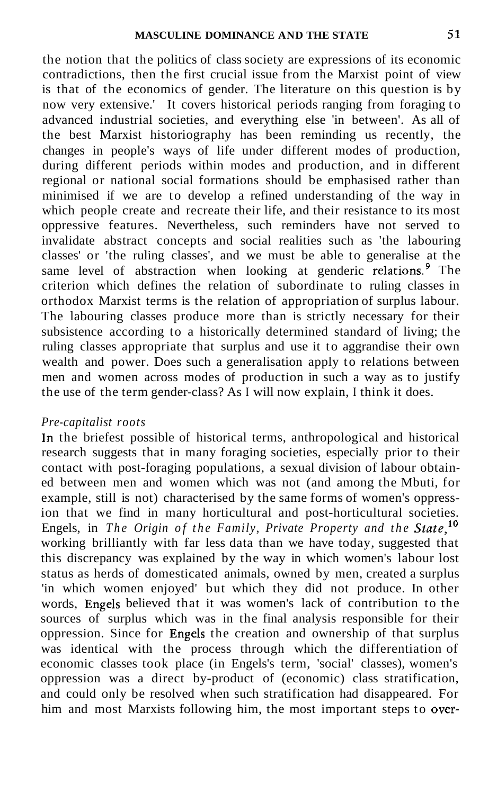the notion that the politics of class society are expressions of its economic contradictions, then the first crucial issue from the Marxist point of view is that of the economics of gender. The literature on this question is by now very extensive.' It covers historical periods ranging from foraging to advanced industrial societies, and everything else 'in between'. As all of the best Marxist historiography has been reminding us recently, the changes in people's ways of life under different modes of production, during different periods within modes and production, and in different regional or national social formations should be emphasised rather than minimised if we are to develop a refined understanding of the way in which people create and recreate their life, and their resistance to its most oppressive features. Nevertheless, such reminders have not served to invalidate abstract concepts and social realities such as 'the labouring classes' or 'the ruling classes', and we must be able to generalise at the same level of abstraction when looking at genderic relations.<sup>9</sup> The criterion which defines the relation of subordinate to ruling classes in orthodox Marxist terms is the relation of appropriation of surplus labour. The labouring classes produce more than is strictly necessary for their subsistence according to a historically determined standard of living; the ruling classes appropriate that surplus and use it to aggrandise their own wealth and power. Does such a generalisation apply to relations between men and women across modes of production in such a way as to justify the use of the term gender-class? As I will now explain, I think it does.

#### *Pre-capitalist roots*

In the briefest possible of historical terms, anthropological and historical research suggests that in many foraging societies, especially prior to their contact with post-foraging populations, a sexual division of labour obtained between men and women which was not (and among the Mbuti, for example, still is not) characterised by the same forms of women's oppression that we find in many horticultural and post-horticultural societies. Engels, in *The Origin of the Family, Private Property and the State*,<sup>10</sup> working brilliantly with far less data than we have today, suggested that this discrepancy was explained by the way in which women's labour lost status as herds of domesticated animals, owned by men, created a surplus 'in which women enjoyed' but which they did not produce. In other words, Engels believed that it was women's lack of contribution to the sources of surplus which was in the final analysis responsible for their oppression. Since for Engels the creation and ownership of that surplus was identical with the process through which the differentiation of economic classes took place (in Engels's term, 'social' classes), women's oppression was a direct by-product of (economic) class stratification, and could only be resolved when such stratification had disappeared. For him and most Marxists following him, the most important steps to over-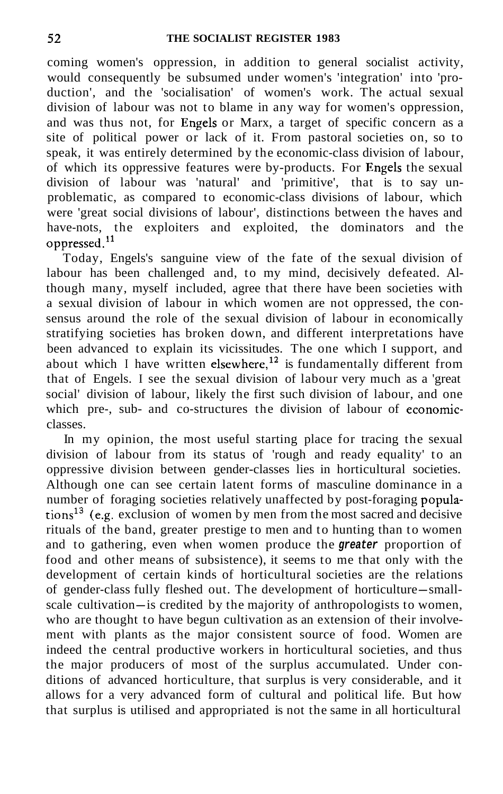coming women's oppression, in addition to general socialist activity, would consequently be subsumed under women's 'integration' into 'production', and the 'socialisation' of women's work. The actual sexual division of labour was not to blame in any way for women's oppression, and was thus not, for Engels or Marx, a target of specific concern as a site of political power or lack of it. From pastoral societies on, so to speak, it was entirely determined by the economic-class division of labour, of which its oppressive features were by-products. For Engels the sexual division of labour was 'natural' and 'primitive', that is to say unproblematic, as compared to economic-class divisions of labour, which were 'great social divisions of labour', distinctions between the haves and have-nots, the exploiters and exploited, the dominators and the oppressed.<sup>11</sup>

Today, Engels's sanguine view of the fate of the sexual division of labour has been challenged and, to my mind, decisively defeated. Although many, myself included, agree that there have been societies with a sexual division of labour in which women are not oppressed, the consensus around the role of the sexual division of labour in economically stratifying societies has broken down, and different interpretations have been advanced to explain its vicissitudes. The one which I support, and about which I have written elsewhere,<sup>12</sup> is fundamentally different from that of Engels. I see the sexual division of labour very much as a 'great social' division of labour, likely the first such division of labour, and one which pre-, sub- and co-structures the division of labour of economicclasses.

In my opinion, the most useful starting place for tracing the sexual division of labour from its status of 'rough and ready equality' to an oppressive division between gender-classes lies in horticultural societies. Although one can see certain latent forms of masculine dominance in a number of foraging societies relatively unaffected by post-foraging popula- $\arccos{13}$  (e.g. exclusion of women by men from the most sacred and decisive rituals of the band, greater prestige to men and to hunting than to women and to gathering, even when women produce the **greater** proportion of food and other means of subsistence), it seems to me that only with the development of certain kinds of horticultural societies are the relations of gender-class fully fleshed out. The development of horticulture-smallscale cultivation-is credited by the majority of anthropologists to women, who are thought to have begun cultivation as an extension of their involvement with plants as the major consistent source of food. Women are indeed the central productive workers in horticultural societies, and thus the major producers of most of the surplus accumulated. Under conditions of advanced horticulture, that surplus is very considerable, and it allows for a very advanced form of cultural and political life. But how that surplus is utilised and appropriated is not the same in all horticultural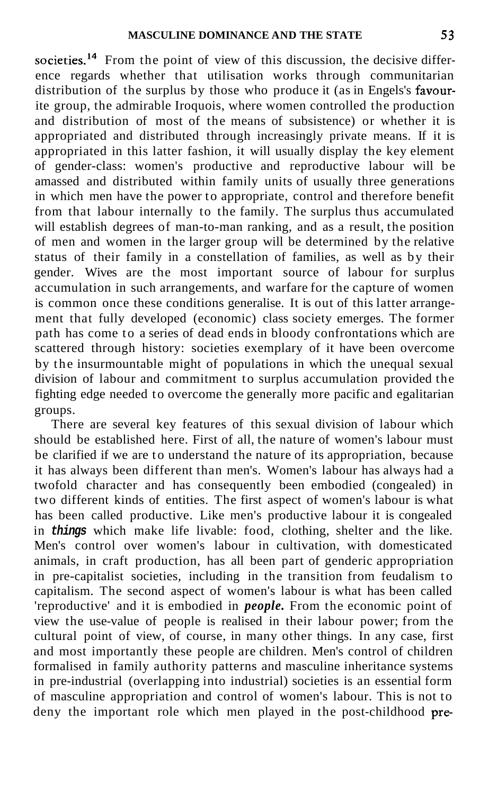societies.<sup>14</sup> From the point of view of this discussion, the decisive difference regards whether that utilisation works through communitarian distribution of the surplus by those who produce it (as in Engels's favourite group, the admirable Iroquois, where women controlled the production and distribution of most of the means of subsistence) or whether it is appropriated and distributed through increasingly private means. If it is appropriated in this latter fashion, it will usually display the key element of gender-class: women's productive and reproductive labour will be amassed and distributed within family units of usually three generations in which men have the power to appropriate, control and therefore benefit from that labour internally to the family. The surplus thus accumulated will establish degrees of man-to-man ranking, and as a result, the position of men and women in the larger group will be determined by the relative status of their family in a constellation of families, as well as by their gender. Wives are the most important source of labour for surplus accumulation in such arrangements, and warfare for the capture of women is common once these conditions generalise. It is out of this latter arrangement that fully developed (economic) class society emerges. The former path has come to a series of dead ends in bloody confrontations which are scattered through history: societies exemplary of it have been overcome by the insurmountable might of populations in which the unequal sexual division of labour and commitment to surplus accumulation provided the fighting edge needed to overcome the generally more pacific and egalitarian groups.

There are several key features of this sexual division of labour which should be established here. First of all, the nature of women's labour must be clarified if we are to understand the nature of its appropriation, because it has always been different than men's. Women's labour has always had a twofold character and has consequently been embodied (congealed) in two different kinds of entities. The first aspect of women's labour is what has been called productive. Like men's productive labour it is congealed in **things** which make life livable: food, clothing, shelter and the like. Men's control over women's labour in cultivation, with domesticated animals, in craft production, has all been part of genderic appropriation in pre-capitalist societies, including in the transition from feudalism to capitalism. The second aspect of women's labour is what has been called 'reproductive' and it is embodied in *people.* From the economic point of view the use-value of people is realised in their labour power; from the cultural point of view, of course, in many other things. In any case, first and most importantly these people are children. Men's control of children formalised in family authority patterns and masculine inheritance systems in pre-industrial (overlapping into industrial) societies is an essential form of masculine appropriation and control of women's labour. This is not to deny the important role which men played in the post-childhood pre-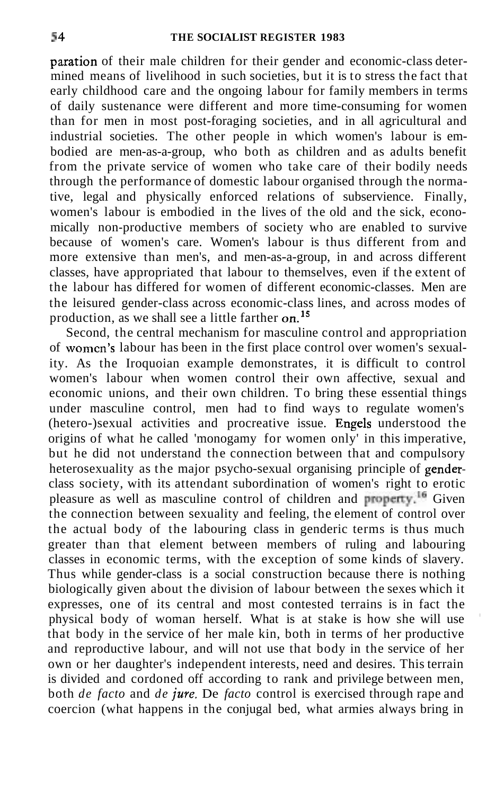paration of their male children for their gender and economic-class determined means of livelihood in such societies, but it is to stress the fact that early childhood care and the ongoing labour for family members in terms of daily sustenance were different and more time-consuming for women than for men in most post-foraging societies, and in all agricultural and industrial societies. The other people in which women's labour is embodied are men-as-a-group, who both as children and as adults benefit from the private service of women who take care of their bodily needs through the performance of domestic labour organised through the normative, legal and physically enforced relations of subservience. Finally, women's labour is embodied in the lives of the old and the sick, economically non-productive members of society who are enabled to survive because of women's care. Women's labour is thus different from and more extensive than men's, and men-as-a-group, in and across different classes, have appropriated that labour to themselves, even if the extent of the labour has differed for women of different economic-classes. Men are the leisured gender-class across economic-class lines, and across modes of production, as we shall see a little farther on.<sup>15</sup>

Second, the central mechanism for masculine control and appropriation of womcn's labour has been in the first place control over women's sexuality. As the Iroquoian example demonstrates, it is difficult to control women's labour when women control their own affective, sexual and economic unions, and their own children. To bring these essential things under masculine control, men had to find ways to regulate women's (hetero-)sexual activities and procreative issue. Engels understood the origins of what he called 'monogamy for women only' in this imperative, but he did not understand the connection between that and compulsory heterosexuality as the major psycho-sexual organising principle of genderclass society, with its attendant subordination of women's right to erotic pleasure as well as masculine control of children and property.16 Given the connection between sexuality and feeling, the element of control over the actual body of the labouring class in genderic terms is thus much greater than that element between members of ruling and labouring classes in economic terms, with the exception of some kinds of slavery. Thus while gender-class is a social construction because there is nothing biologically given about the division of labour between the sexes which it expresses, one of its central and most contested terrains is in fact the physical body of woman herself. What is at stake is how she will use that body in the service of her male kin, both in terms of her productive and reproductive labour, and will not use that body in the service of her own or her daughter's independent interests, need and desires. This terrain is divided and cordoned off according to rank and privilege between men, both *de facto* and *de jure.* De *facto* control is exercised through rape and coercion (what happens in the conjugal bed, what armies always bring in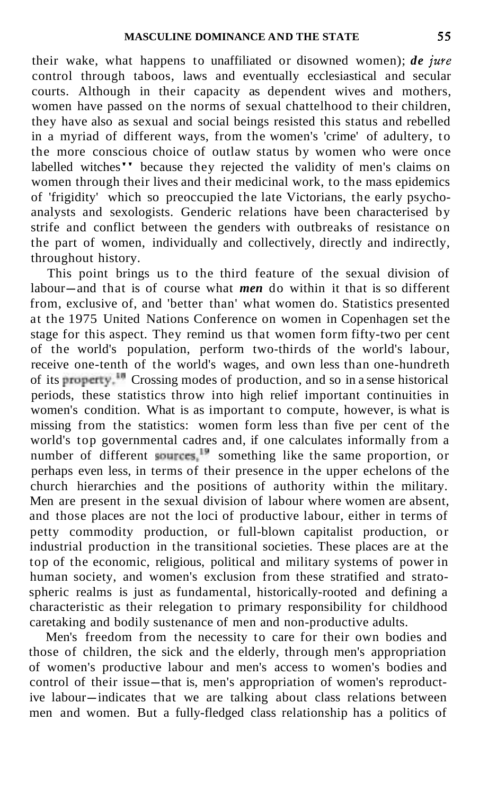their wake, what happens to unaffiliated or disowned women); *de jure*  control through taboos, laws and eventually ecclesiastical and secular courts. Although in their capacity as dependent wives and mothers, women have passed on the norms of sexual chattelhood to their children, they have also as sexual and social beings resisted this status and rebelled in a myriad of different ways, from the women's 'crime' of adultery, to the more conscious choice of outlaw status by women who were once labelled witches" because they rejected the validity of men's claims on women through their lives and their medicinal work, to the mass epidemics of 'frigidity' which so preoccupied the late Victorians, the early psychoanalysts and sexologists. Genderic relations have been characterised by strife and conflict between the genders with outbreaks of resistance on the part of women, individually and collectively, directly and indirectly, throughout history.

This point brings us to the third feature of the sexual division of labour-and that is of course what *men* do within it that is so different from, exclusive of, and 'better than' what women do. Statistics presented at the 1975 United Nations Conference on women in Copenhagen set the stage for this aspect. They remind us that women form fifty-two per cent of the world's population, perform two-thirds of the world's labour, receive one-tenth of the world's wages, and own less than one-hundreth of its property.18 Crossing modes of production, and so in a sense historical periods, these statistics throw into high relief important continuities in women's condition. What is as important to compute, however, is what is missing from the statistics: women form less than five per cent of the world's top governmental cadres and, if one calculates informally from a number of different sources,<sup>19</sup> something like the same proportion, or perhaps even less, in terms of their presence in the upper echelons of the church hierarchies and the positions of authority within the military. Men are present in the sexual division of labour where women are absent, and those places are not the loci of productive labour, either in terms of petty commodity production, or full-blown capitalist production, or industrial production in the transitional societies. These places are at the top of the economic, religious, political and military systems of power in human society, and women's exclusion from these stratified and stratospheric realms is just as fundamental, historically-rooted and defining a characteristic as their relegation to primary responsibility for childhood caretaking and bodily sustenance of men and non-productive adults.

Men's freedom from the necessity to care for their own bodies and those of children, the sick and the elderly, through men's appropriation of women's productive labour and men's access to women's bodies and control of their issue-that is, men's appropriation of women's reproductive labour-indicates that we are talking about class relations between men and women. But a fully-fledged class relationship has a politics of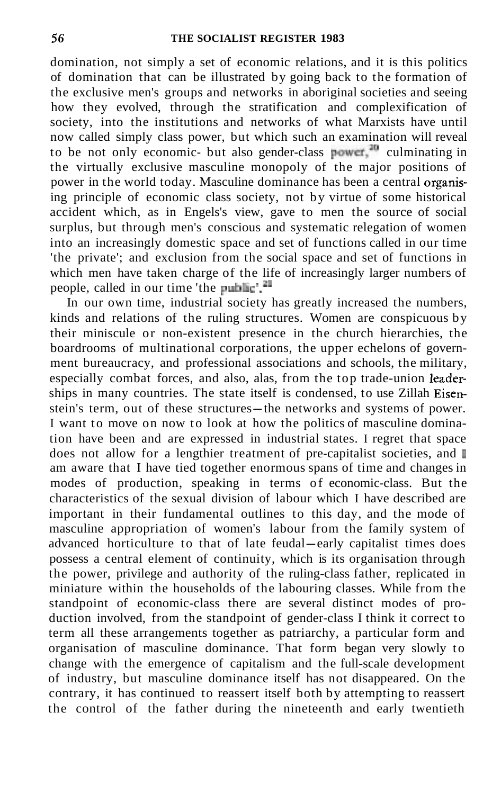domination, not simply a set of economic relations, and it is this politics of domination that can be illustrated by going back to the formation of the exclusive men's groups and networks in aboriginal societies and seeing how they evolved, through the stratification and complexification of society, into the institutions and networks of what Marxists have until now called simply class power, but which such an examination will reveal to be not only economic- but also gender-class power,<sup>20</sup> culminating in the virtually exclusive masculine monopoly of the major positions of power in the world today. Masculine dominance has been a central organising principle of economic class society, not by virtue of some historical accident which, as in Engels's view, gave to men the source of social surplus, but through men's conscious and systematic relegation of women into an increasingly domestic space and set of functions called in our time 'the private'; and exclusion from the social space and set of functions in which men have taken charge of the life of increasingly larger numbers of people, called in our time 'the public'.<sup>21</sup>

In our own time, industrial society has greatly increased the numbers, kinds and relations of the ruling structures. Women are conspicuous by their miniscule or non-existent presence in the church hierarchies, the boardrooms of multinational corporations, the upper echelons of government bureaucracy, and professional associations and schools, the military, especially combat forces, and also, alas, from the top trade-union leaderships in many countries. The state itself is condensed, to use Zillah Eisenstein's term, out of these structures-the networks and systems of power. I want to move on now to look at how the politics of masculine domination have been and are expressed in industrial states. I regret that space does not allow for a lengthier treatment of pre-capitalist societies, and  $\blacksquare$ am aware that I have tied together enormous spans of time and changes in modes of production, speaking in terms of economic-class. But the characteristics of the sexual division of labour which I have described are important in their fundamental outlines to this day, and the mode of masculine appropriation of women's labour from the family system of advanced horticulture to that of late feudal-early capitalist times does possess a central element of continuity, which is its organisation through the power, privilege and authority of the ruling-class father, replicated in miniature within the households of the labouring classes. While from the standpoint of economic-class there are several distinct modes of production involved, from the standpoint of gender-class I think it correct to term all these arrangements together as patriarchy, a particular form and organisation of masculine dominance. That form began very slowly to change with the emergence of capitalism and the full-scale development of industry, but masculine dominance itself has not disappeared. On the contrary, it has continued to reassert itself both by attempting to reassert the control of the father during the nineteenth and early twentieth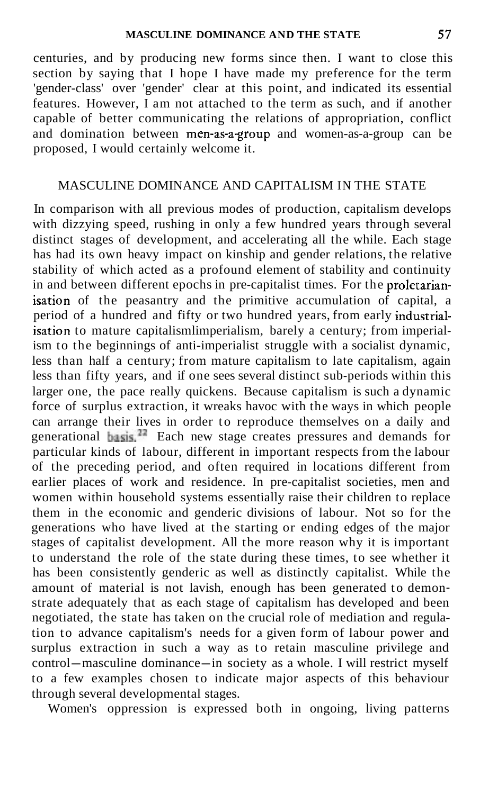centuries, and by producing new forms since then. I want to close this section by saying that I hope I have made my preference for the term 'gender-class' over 'gender' clear at this point, and indicated its essential features. However, I am not attached to the term as such, and if another capable of better communicating the relations of appropriation, conflict and domination between men-as-a-group and women-as-a-group can be proposed, I would certainly welcome it.

### MASCULINE DOMINANCE AND CAPITALISM IN THE STATE

In comparison with all previous modes of production, capitalism develops with dizzying speed, rushing in only a few hundred years through several distinct stages of development, and accelerating all the while. Each stage has had its own heavy impact on kinship and gender relations, the relative stability of which acted as a profound element of stability and continuity in and between different epochs in pre-capitalist times. For the proletarianisation of the peasantry and the primitive accumulation of capital, a period of a hundred and fifty or two hundred years, from early industrialisation to mature capitalismlimperialism, barely a century; from imperialism to the beginnings of anti-imperialist struggle with a socialist dynamic, less than half a century; from mature capitalism to late capitalism, again less than fifty years, and if one sees several distinct sub-periods within this larger one, the pace really quickens. Because capitalism is such a dynamic force of surplus extraction, it wreaks havoc with the ways in which people can arrange their lives in order to reproduce themselves on a daily and generational basis.22 Each new stage creates pressures and demands for particular kinds of labour, different in important respects from the labour of the preceding period, and often required in locations different from earlier places of work and residence. In pre-capitalist societies, men and women within household systems essentially raise their children to replace them in the economic and genderic divisions of labour. Not so for the generations who have lived at the starting or ending edges of the major stages of capitalist development. All the more reason why it is important to understand the role of the state during these times, to see whether it has been consistently genderic as well as distinctly capitalist. While the amount of material is not lavish, enough has been generated to demonstrate adequately that as each stage of capitalism has developed and been negotiated, the state has taken on the crucial role of mediation and regulation to advance capitalism's needs for a given form of labour power and surplus extraction in such a way as to retain masculine privilege and control-masculine dominance-in society as a whole. I will restrict myself to a few examples chosen to indicate major aspects of this behaviour through several developmental stages.

Women's oppression is expressed both in ongoing, living patterns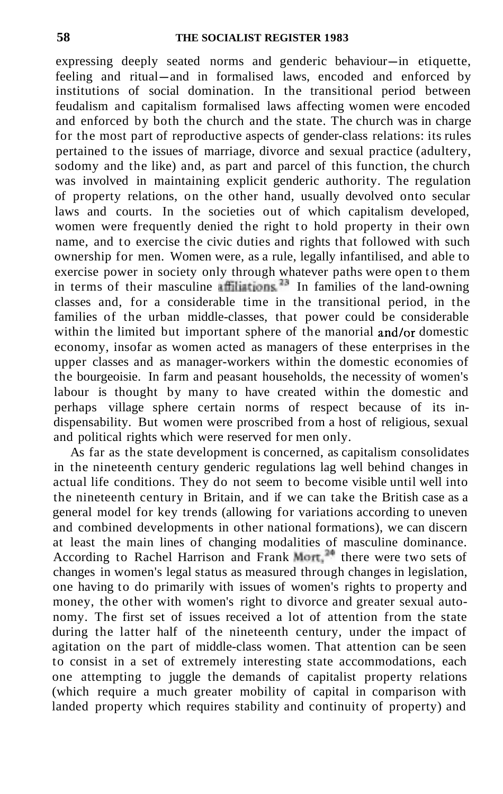expressing deeply seated norms and genderic behaviour-in etiquette, feeling and ritual-and in formalised laws, encoded and enforced by institutions of social domination. In the transitional period between feudalism and capitalism formalised laws affecting women were encoded and enforced by both the church and the state. The church was in charge for the most part of reproductive aspects of gender-class relations: its rules pertained to the issues of marriage, divorce and sexual practice (adultery, sodomy and the like) and, as part and parcel of this function, the church was involved in maintaining explicit genderic authority. The regulation of property relations, on the other hand, usually devolved onto secular laws and courts. In the societies out of which capitalism developed, women were frequently denied the right to hold property in their own name, and to exercise the civic duties and rights that followed with such ownership for men. Women were, as a rule, legally infantilised, and able to exercise power in society only through whatever paths were open to them in terms of their masculine affiliations.<sup>23</sup> In families of the land-owning classes and, for a considerable time in the transitional period, in the families of the urban middle-classes, that power could be considerable within the limited but important sphere of the manorial and/or domestic economy, insofar as women acted as managers of these enterprises in the upper classes and as manager-workers within the domestic economies of the bourgeoisie. In farm and peasant households, the necessity of women's labour is thought by many to have created within the domestic and perhaps village sphere certain norms of respect because of its indispensability. But women were proscribed from a host of religious, sexual and political rights which were reserved for men only.

As far as the state development is concerned, as capitalism consolidates in the nineteenth century genderic regulations lag well behind changes in actual life conditions. They do not seem to become visible until well into the nineteenth century in Britain, and if we can take the British case as a general model for key trends (allowing for variations according to uneven and combined developments in other national formations), we can discern at least the main lines of changing modalities of masculine dominance. According to Rachel Harrison and Frank  $M$ ort,<sup>24</sup> there were two sets of changes in women's legal status as measured through changes in legislation, one having to do primarily with issues of women's rights to property and money, the other with women's right to divorce and greater sexual autonomy. The first set of issues received a lot of attention from the state during the latter half of the nineteenth century, under the impact of agitation on the part of middle-class women. That attention can be seen to consist in a set of extremely interesting state accommodations, each one attempting to juggle the demands of capitalist property relations (which require a much greater mobility of capital in comparison with landed property which requires stability and continuity of property) and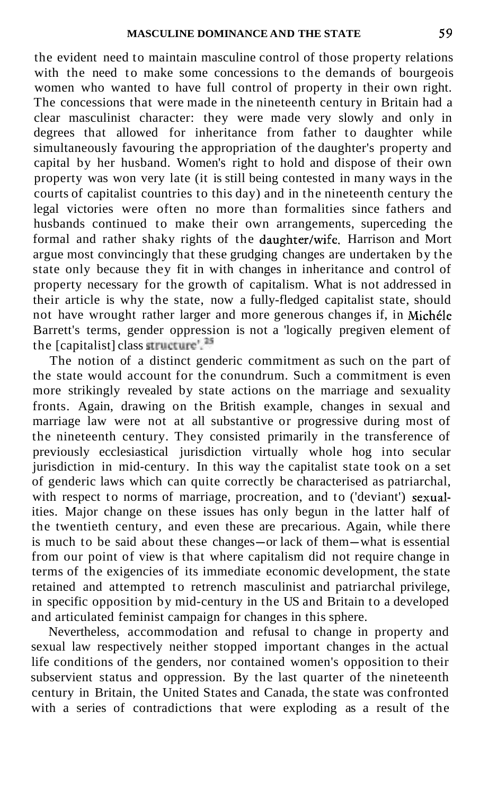the evident need to maintain masculine control of those property relations with the need to make some concessions to the demands of bourgeois women who wanted to have full control of property in their own right. The concessions that were made in the nineteenth century in Britain had a clear masculinist character: they were made very slowly and only in degrees that allowed for inheritance from father to daughter while simultaneously favouring the appropriation of the daughter's property and capital by her husband. Women's right to hold and dispose of their own property was won very late (it is still being contested in many ways in the courts of capitalist countries to this day) and in the nineteenth century the legal victories were often no more than formalities since fathers and husbands continued to make their own arrangements, superceding the formal and rather shaky rights of the daughter/wife. Harrison and Mort argue most convincingly that these grudging changes are undertaken by the state only because they fit in with changes in inheritance and control of property necessary for the growth of capitalism. What is not addressed in their article is why the state, now a fully-fledged capitalist state, should not have wrought rather larger and more generous changes if, in Michéle Barrett's terms, gender oppression is not a 'logically pregiven element of the  $[capitalist]$  class structure'.<sup>25</sup>

The notion of a distinct genderic commitment as such on the part of the state would account for the conundrum. Such a commitment is even more strikingly revealed by state actions on the marriage and sexuality fronts. Again, drawing on the British example, changes in sexual and marriage law were not at all substantive or progressive during most of the nineteenth century. They consisted primarily in the transference of previously ecclesiastical jurisdiction virtually whole hog into secular jurisdiction in mid-century. In this way the capitalist state took on a set of genderic laws which can quite correctly be characterised as patriarchal, with respect to norms of marriage, procreation, and to ('deviant') sexualities. Major change on these issues has only begun in the latter half of the twentieth century, and even these are precarious. Again, while there is much to be said about these changes-or lack of them-what is essential from our point of view is that where capitalism did not require change in terms of the exigencies of its immediate economic development, the state retained and attempted to retrench masculinist and patriarchal privilege, in specific opposition by mid-century in the US and Britain to a developed and articulated feminist campaign for changes in this sphere.

Nevertheless, accommodation and refusal to change in property and sexual law respectively neither stopped important changes in the actual life conditions of the genders, nor contained women's opposition to their subservient status and oppression. By the last quarter of the nineteenth century in Britain, the United States and Canada, the state was confronted with a series of contradictions that were exploding as a result of the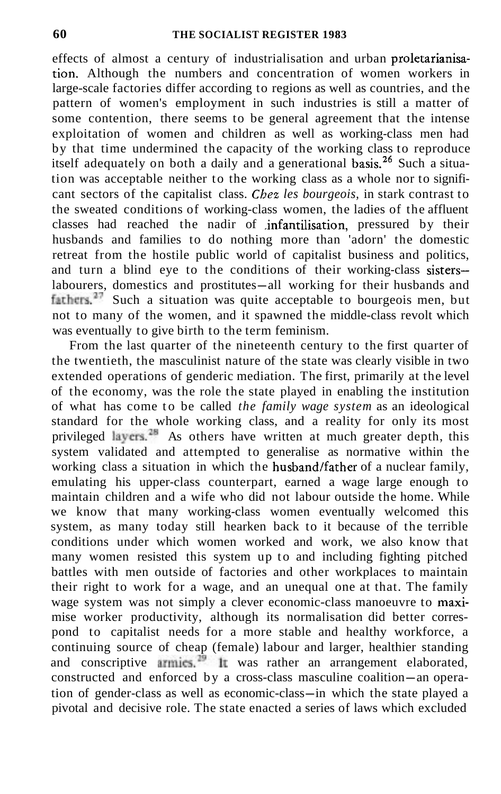effects of almost a century of industrialisation and urban proletarianisation. Although the numbers and concentration of women workers in large-scale factories differ according to regions as well as countries, and the pattern of women's employment in such industries is still a matter of some contention, there seems to be general agreement that the intense exploitation of women and children as well as working-class men had by that time undermined the capacity of the working class to reproduce itself adequately on both a daily and a generational basis.<sup>26</sup> Such a situation was acceptable neither to the working class as a whole nor to significant sectors of the capitalist class. *Chez les bourgeois,* in stark contrast to the sweated conditions of working-class women, the ladies of the affluent classes had reached the nadir of infantilisation, pressured by their husbands and families to do nothing more than 'adorn' the domestic retreat from the hostile public world of capitalist business and politics, and turn a blind eye to the conditions of their working-class sisterslabourers, domestics and prostitutes-all working for their husbands and fathers.<sup>27</sup> Such a situation was quite acceptable to bourgeois men, but not to many of the women, and it spawned the middle-class revolt which was eventually to give birth to the term feminism.

From the last quarter of the nineteenth century to the first quarter of the twentieth, the masculinist nature of the state was clearly visible in two extended operations of genderic mediation. The first, primarily at the level of the economy, was the role the state played in enabling the institution of what has come to be called *the family wage system* as an ideological standard for the whole working class, and a reality for only its most privileged layers.<sup>28</sup> As others have written at much greater depth, this system validated and attempted to generalise as normative within the working class a situation in which the husband/father of a nuclear family, emulating his upper-class counterpart, earned a wage large enough to maintain children and a wife who did not labour outside the home. While we know that many working-class women eventually welcomed this system, as many today still hearken back to it because of the terrible conditions under which women worked and work, we also know that many women resisted this system up to and including fighting pitched battles with men outside of factories and other workplaces to maintain their right to work for a wage, and an unequal one at that. The family wage system was not simply a clever economic-class manoeuvre to maximise worker productivity, although its normalisation did better correspond to capitalist needs for a more stable and healthy workforce, a continuing source of cheap (female) labour and larger, healthier standing and conscriptive armies.<sup>29</sup> It was rather an arrangement elaborated, constructed and enforced by a cross-class masculine coalition-an operation of gender-class as well as economic-class-in which the state played a pivotal and decisive role. The state enacted a series of laws which excluded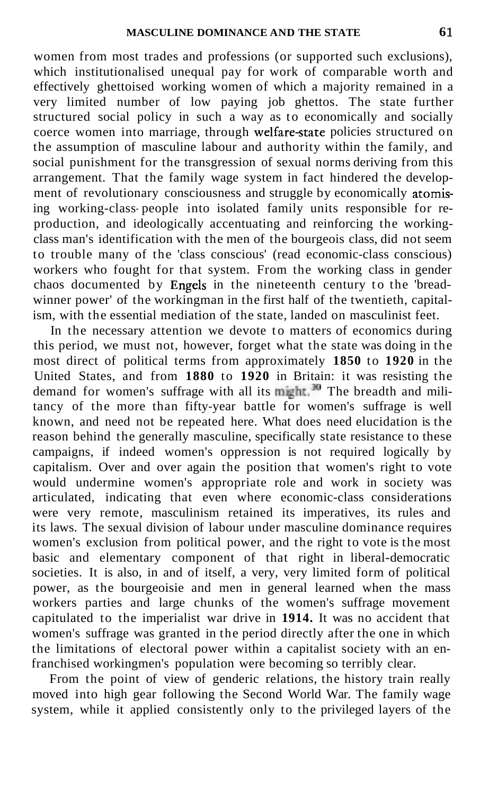women from most trades and professions (or supported such exclusions), which institutionalised unequal pay for work of comparable worth and effectively ghettoised working women of which a majority remained in a very limited number of low paying job ghettos. The state further structured social policy in such a way as to economically and socially coerce women into marriage, through welfare-state policies structured on the assumption of masculine labour and authority within the family, and social punishment for the transgression of sexual norms deriving from this arrangement. That the family wage system in fact hindered the development of revolutionary consciousness and struggle by economically atomising working-class- people into isolated family units responsible for reproduction, and ideologically accentuating and reinforcing the workingclass man's identification with the men of the bourgeois class, did not seem to trouble many of the 'class conscious' (read economic-class conscious) workers who fought for that system. From the working class in gender chaos documented by Engels in the nineteenth century to the 'breadwinner power' of the workingman in the first half of the twentieth, capitalism, with the essential mediation of the state, landed on masculinist feet.

In the necessary attention we devote to matters of economics during this period, we must not, however, forget what the state was doing in the most direct of political terms from approximately **1850** to **1920** in the United States, and from **1880** to **1920** in Britain: it was resisting the demand for women's suffrage with all its might.<sup>30</sup> The breadth and militancy of the more than fifty-year battle for women's suffrage is well known, and need not be repeated here. What does need elucidation is the reason behind the generally masculine, specifically state resistance to these campaigns, if indeed women's oppression is not required logically by capitalism. Over and over again the position that women's right to vote would undermine women's appropriate role and work in society was articulated, indicating that even where economic-class considerations were very remote, masculinism retained its imperatives, its rules and its laws. The sexual division of labour under masculine dominance requires women's exclusion from political power, and the right to vote is the most basic and elementary component of that right in liberal-democratic societies. It is also, in and of itself, a very, very limited form of political power, as the bourgeoisie and men in general learned when the mass workers parties and large chunks of the women's suffrage movement capitulated to the imperialist war drive in **1914.** It was no accident that women's suffrage was granted in the period directly after the one in which the limitations of electoral power within a capitalist society with an enfranchised workingmen's population were becoming so terribly clear.

From the point of view of genderic relations, the history train really moved into high gear following the Second World War. The family wage system, while it applied consistently only to the privileged layers of the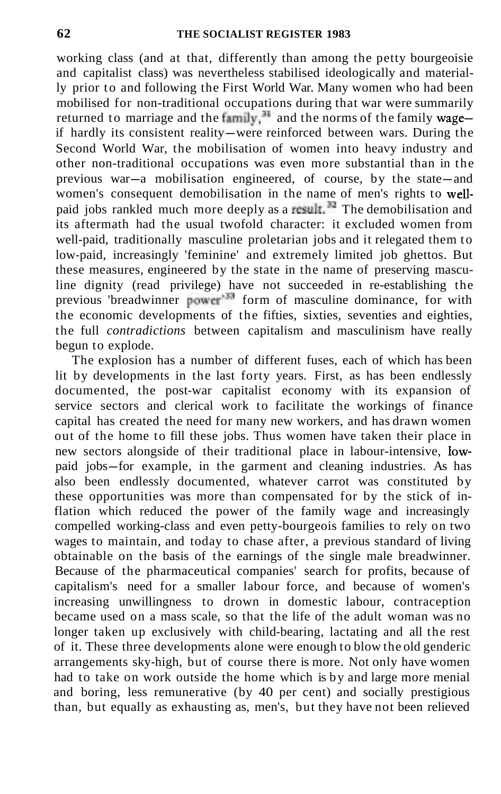working class (and at that, differently than among the petty bourgeoisie and capitalist class) was nevertheless stabilised ideologically and materially prior to and following the First World War. Many women who had been mobilised for non-traditional occupations during that war were summarily returned to marriage and the family,<sup>31</sup> and the norms of the family wageif hardly its consistent reality-were reinforced between wars. During the Second World War, the mobilisation of women into heavy industry and other non-traditional occupations was even more substantial than in the previous war-a mobilisation engineered, of course, by the state-and women's consequent demobilisation in the name of men's rights to wellpaid jobs rankled much more deeply as a result.<sup>32</sup> The demobilisation and its aftermath had the usual twofold character: it excluded women from well-paid, traditionally masculine proletarian jobs and it relegated them to low-paid, increasingly 'feminine' and extremely limited job ghettos. But these measures, engineered by the state in the name of preserving masculine dignity (read privilege) have not succeeded in re-establishing the previous 'breadwinner power'<sup>33</sup> form of masculine dominance, for with the economic developments of the fifties, sixties, seventies and eighties, the full *contradictions* between capitalism and masculinism have really begun to explode.

The explosion has a number of different fuses, each of which has been lit by developments in the last forty years. First, as has been endlessly documented, the post-war capitalist economy with its expansion of service sectors and clerical work to facilitate the workings of finance capital has created the need for many new workers, and has drawn women out of the home to fill these jobs. Thus women have taken their place in new sectors alongside of their traditional place in labour-intensive, lowpaid jobs-for example, in the garment and cleaning industries. As has also been endlessly documented, whatever carrot was constituted by these opportunities was more than compensated for by the stick of inflation which reduced the power of the family wage and increasingly compelled working-class and even petty-bourgeois families to rely on two wages to maintain, and today to chase after, a previous standard of living obtainable on the basis of the earnings of the single male breadwinner. Because of the pharmaceutical companies' search for profits, because of capitalism's need for a smaller labour force, and because of women's increasing unwillingness to drown in domestic labour, contraception became used on a mass scale, so that the life of the adult woman was no longer taken up exclusively with child-bearing, lactating and all the rest of it. These three developments alone were enough to blow the old genderic arrangements sky-high, but of course there is more. Not only have women had to take on work outside the home which is by and large more menial and boring, less remunerative (by 40 per cent) and socially prestigious than, but equally as exhausting as, men's, but they have not been relieved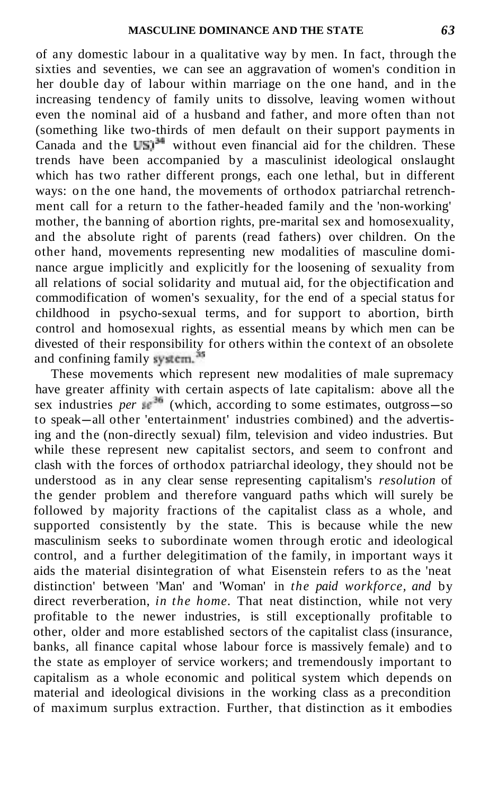of any domestic labour in a qualitative way by men. In fact, through the sixties and seventies, we can see an aggravation of women's condition in her double day of labour within marriage on the one hand, and in the increasing tendency of family units to dissolve, leaving women without even the nominal aid of a husband and father, and more often than not (something like two-thirds of men default on their support payments in Canada and the  $\text{USI}^{\text{34}}$  without even financial aid for the children. These trends have been accompanied by a masculinist ideological onslaught which has two rather different prongs, each one lethal, but in different ways: on the one hand, the movements of orthodox patriarchal retrenchment call for a return to the father-headed family and the 'non-working' mother, the banning of abortion rights, pre-marital sex and homosexuality, and the absolute right of parents (read fathers) over children. On the other hand, movements representing new modalities of masculine dominance argue implicitly and explicitly for the loosening of sexuality from all relations of social solidarity and mutual aid, for the objectification and commodification of women's sexuality, for the end of a special status for childhood in psycho-sexual terms, and for support to abortion, birth control and homosexual rights, as essential means by which men can be divested of their responsibility for others within the context of an obsolete and confining family system.<sup>35</sup>

These movements which represent new modalities of male supremacy have greater affinity with certain aspects of late capitalism: above all the have greater affinity with certain aspects of late capitalism: above all the sex industries *per*  $\mathbb{R}^3$  (which, according to some estimates, outgross-so sex industries *per*  $\mathbb{R}^{36}$  (which, according to some estimates, outgross–so to speak-all other 'entertainment' industries combined) and the advertising and the (non-directly sexual) film, television and video industries. But while these represent new capitalist sectors, and seem to confront and clash with the forces of orthodox patriarchal ideology, they should not be understood as in any clear sense representing capitalism's *resolution* of the gender problem and therefore vanguard paths which will surely be followed by majority fractions of the capitalist class as a whole, and supported consistently by the state. This is because while the new masculinism seeks to subordinate women through erotic and ideological control, and a further delegitimation of the family, in important ways it aids the material disintegration of what Eisenstein refers to as the 'neat distinction' between 'Man' and 'Woman' in *the paid workforce, and* by direct reverberation, *in the home*. That neat distinction, while not very profitable to the newer industries, is still exceptionally profitable to other, older and more established sectors of the capitalist class (insurance, banks, all finance capital whose labour force is massively female) and to the state as employer of service workers; and tremendously important to capitalism as a whole economic and political system which depends on material and ideological divisions in the working class as a precondition of maximum surplus extraction. Further, that distinction as it embodies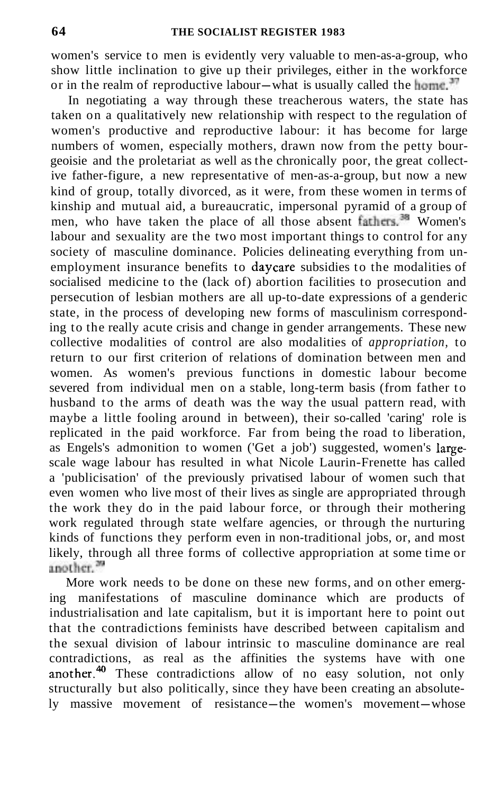women's service to men is evidently very valuable to men-as-a-group, who show little inclination to give up their privileges, either in the workforce or in the realm of reproductive labour-what is usually called the home.<sup>37</sup>

In negotiating a way through these treacherous waters, the state has taken on a qualitatively new relationship with respect to the regulation of women's productive and reproductive labour: it has become for large numbers of women, especially mothers, drawn now from the petty bourgeoisie and the proletariat as well as the chronically poor, the great collective father-figure, a new representative of men-as-a-group, but now a new kind of group, totally divorced, as it were, from these women in terms of kinship and mutual aid, a bureaucratic, impersonal pyramid of a group of men, who have taken the place of all those absent fathers.<sup>38</sup> Women's labour and sexuality are the two most important things to control for any society of masculine dominance. Policies delineating everything from unemployment insurance benefits to daycare subsidies to the modalities of socialised medicine to the (lack of) abortion facilities to prosecution and persecution of lesbian mothers are all up-to-date expressions of a genderic state, in the process of developing new forms of masculinism corresponding to the really acute crisis and change in gender arrangements. These new collective modalities of control are also modalities of *appropriation,* to return to our first criterion of relations of domination between men and women. As women's previous functions in domestic labour become severed from individual men on a stable, long-term basis (from father to husband to the arms of death was the way the usual pattern read, with maybe a little fooling around in between), their so-called 'caring' role is replicated in the paid workforce. Far from being the road to liberation, as Engels's admonition to women ('Get a job') suggested, women's largescale wage labour has resulted in what Nicole Laurin-Frenette has called a 'publicisation' of the previously privatised labour of women such that even women who live most of their lives as single are appropriated through the work they do in the paid labour force, or through their mothering work regulated through state welfare agencies, or through the nurturing kinds of functions they perform even in non-traditional jobs, or, and most likely, through all three forms of collective appropriation at some time or another.<sup>39</sup>

More work needs to be done on these new forms, and on other emerging manifestations of masculine dominance which are products of industrialisation and late capitalism, but it is important here to point out that the contradictions feminists have described between capitalism and the sexual division of labour intrinsic to masculine dominance are real contradictions, as real as the affinities the systems have with one another.<sup>40</sup> These contradictions allow of no easy solution, not only structurally but also politically, since they have been creating an absolute-ly massive movement of resistance-the women's movement-whose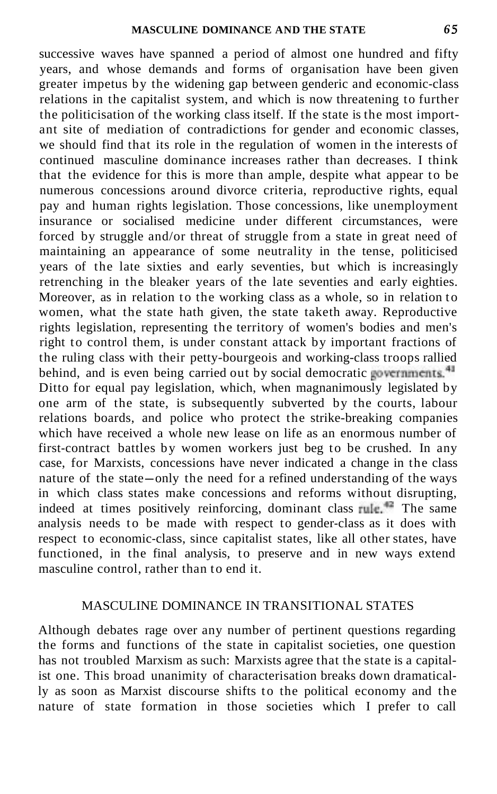successive waves have spanned a period of almost one hundred and fifty years, and whose demands and forms of organisation have been given greater impetus by the widening gap between genderic and economic-class relations in the capitalist system, and which is now threatening to further the politicisation of the working class itself. If the state is the most important site of mediation of contradictions for gender and economic classes, we should find that its role in the regulation of women in the interests of continued masculine dominance increases rather than decreases. I think that the evidence for this is more than ample, despite what appear to be numerous concessions around divorce criteria, reproductive rights, equal pay and human rights legislation. Those concessions, like unemployment insurance or socialised medicine under different circumstances, were forced by struggle and/or threat of struggle from a state in great need of maintaining an appearance of some neutrality in the tense, politicised years of the late sixties and early seventies, but which is increasingly retrenching in the bleaker years of the late seventies and early eighties. Moreover, as in relation to the working class as a whole, so in relation to women, what the state hath given, the state taketh away. Reproductive rights legislation, representing the territory of women's bodies and men's right to control them, is under constant attack by important fractions of the ruling class with their petty-bourgeois and working-class troops rallied behind, and is even being carried out by social democratic governments.<sup>41</sup> Ditto for equal pay legislation, which, when magnanimously legislated by one arm of the state, is subsequently subverted by the courts, labour relations boards, and police who protect the strike-breaking companies which have received a whole new lease on life as an enormous number of first-contract battles by women workers just beg to be crushed. In any case, for Marxists, concessions have never indicated a change in the class nature of the state-only the need for a refined understanding of the ways in which class states make concessions and reforms without disrupting, indeed at times positively reinforcing, dominant class rule.<sup>42</sup> The same analysis needs to be made with respect to gender-class as it does with respect to economic-class, since capitalist states, like all other states, have functioned, in the final analysis, to preserve and in new ways extend masculine control, rather than to end it.

## MASCULINE DOMINANCE IN TRANSITIONAL STATES

Although debates rage over any number of pertinent questions regarding the forms and functions of the state in capitalist societies, one question has not troubled Marxism as such: Marxists agree that the state is a capitalist one. This broad unanimity of characterisation breaks down dramatically as soon as Marxist discourse shifts to the political economy and the nature of state formation in those societies which I prefer to call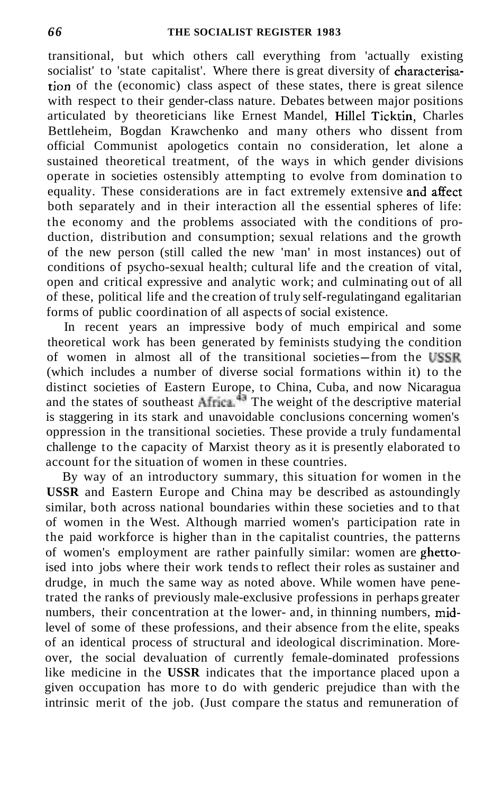transitional, but which others call everything from 'actually existing socialist' to 'state capitalist'. Where there is great diversity of characterisation of the (economic) class aspect of these states, there is great silence with respect to their gender-class nature. Debates between major positions articulated by theoreticians like Ernest Mandel, Hillel Ticktin, Charles Bettleheim, Bogdan Krawchenko and many others who dissent from official Communist apologetics contain no consideration, let alone a sustained theoretical treatment, of the ways in which gender divisions operate in societies ostensibly attempting to evolve from domination to equality. These considerations are in fact extremely extensive and affect both separately and in their interaction all the essential spheres of life: the economy and the problems associated with the conditions of production, distribution and consumption; sexual relations and the growth of the new person (still called the new 'man' in most instances) out of conditions of psycho-sexual health; cultural life and the creation of vital, open and critical expressive and analytic work; and culminating out of all of these, political life and the creation of truly self-regulatingand egalitarian forms of public coordination of all aspects of social existence.

In recent years an impressive body of much empirical and some theoretical work has been generated by feminists studying the condition of women in almost all of the transitional societies-from the **USSR**  (which includes a number of diverse social formations within it) to the distinct societies of Eastern Europe, to China, Cuba, and now Nicaragua and the states of southeast Africa.<sup>43</sup> The weight of the descriptive material is staggering in its stark and unavoidable conclusions concerning women's oppression in the transitional societies. These provide a truly fundamental challenge to the capacity of Marxist theory as it is presently elaborated to account for the situation of women in these countries.

By way of an introductory summary, this situation for women in the **USSR** and Eastern Europe and China may be described as astoundingly similar, both across national boundaries within these societies and to that of women in the West. Although married women's participation rate in the paid workforce is higher than in the capitalist countries, the patterns of women's employment are rather painfully similar: women are ghettoised into jobs where their work tends to reflect their roles as sustainer and drudge, in much the same way as noted above. While women have penetrated the ranks of previously male-exclusive professions in perhaps greater numbers, their concentration at the lower- and, in thinning numbers, midlevel of some of these professions, and their absence from the elite, speaks of an identical process of structural and ideological discrimination. Moreover, the social devaluation of currently female-dominated professions like medicine in the **USSR** indicates that the importance placed upon a given occupation has more to do with genderic prejudice than with the intrinsic merit of the job. (Just compare the status and remuneration of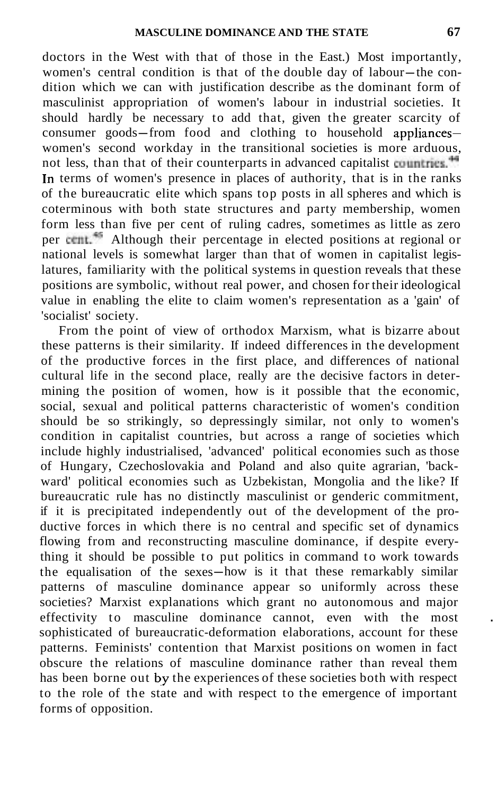doctors in the West with that of those in the East.) Most importantly, women's central condition is that of the double day of labour-the condition which we can with justification describe as the dominant form of masculinist appropriation of women's labour in industrial societies. It should hardly be necessary to add that, given the greater scarcity of consumer goods-from food and clothing to household applianceswomen's second workday in the transitional societies is more arduous, not less, than that of their counterparts in advanced capitalist countries. $~^{+}$ In terms of women's presence in places of authority, that is in the ranks of the bureaucratic elite which spans top posts in all spheres and which is coterminous with both state structures and party membership, women form less than five per cent of ruling cadres, sometimes as little as zero per cent.45 Although their percentage in elected positions at regional or national levels is somewhat larger than that of women in capitalist legislatures, familiarity with the political systems in question reveals that these positions are symbolic, without real power, and chosen for their ideological value in enabling the elite to claim women's representation as a 'gain' of 'socialist' society.

From the point of view of orthodox Marxism, what is bizarre about these patterns is their similarity. If indeed differences in the development of the productive forces in the first place, and differences of national cultural life in the second place, really are the decisive factors in determining the position of women, how is it possible that the economic, social, sexual and political patterns characteristic of women's condition should be so strikingly, so depressingly similar, not only to women's condition in capitalist countries, but across a range of societies which include highly industrialised, 'advanced' political economies such as those of Hungary, Czechoslovakia and Poland and also quite agrarian, 'backward' political economies such as Uzbekistan, Mongolia and the like? If bureaucratic rule has no distinctly masculinist or genderic commitment, if it is precipitated independently out of the development of the productive forces in which there is no central and specific set of dynamics flowing from and reconstructing masculine dominance, if despite everything it should be possible to put politics in command to work towards the equalisation of the sexes-how is it that these remarkably similar patterns of masculine dominance appear so uniformly across these societies? Marxist explanations which grant no autonomous and major effectivity to masculine dominance cannot, even with the most sophisticated of bureaucratic-deformation elaborations, account for these patterns. Feminists' contention that Marxist positions on women in fact obscure the relations of masculine dominance rather than reveal them has been borne out by the experiences of these societies both with respect to the role of the state and with respect to the emergence of important forms of opposition.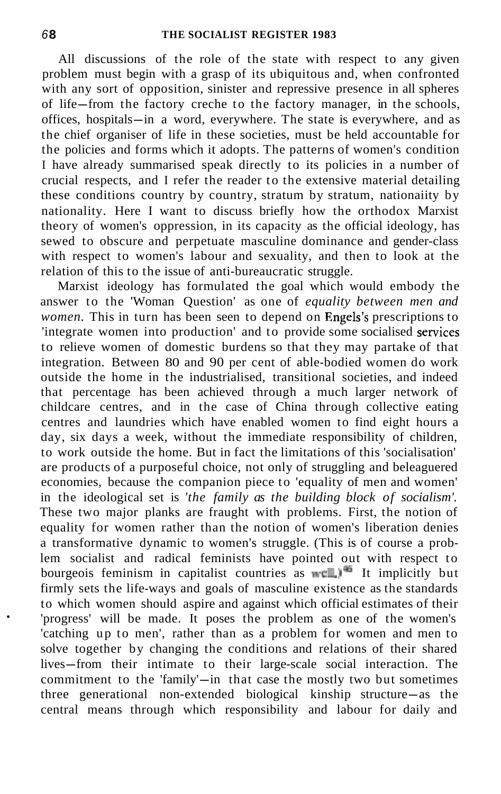All discussions of the role of the state with respect to any given problem must begin with a grasp of its ubiquitous and, when confronted with any sort of opposition, sinister and repressive presence in all spheres of life-from the factory creche to the factory manager, in the schools, offices, hospitals-in a word, everywhere. The state is everywhere, and as the chief organiser of life in these societies, must be held accountable for the policies and forms which it adopts. The patterns of women's condition I have already summarised speak directly to its policies in a number of crucial respects, and I refer the reader to the extensive material detailing these conditions country by country, stratum by stratum, nationaiity by nationality. Here I want to discuss briefly how the orthodox Marxist theory of women's oppression, in its capacity as the official ideology, has sewed to obscure and perpetuate masculine dominance and gender-class with respect to women's labour and sexuality, and then to look at the relation of this to the issue of anti-bureaucratic struggle.

Marxist ideology has formulated the goal which would embody the answer to the 'Woman Question' as one of *equality between men and women.* This in turn has been seen to depend on Engels's prescriptions to 'integrate women into production' and to provide some socialised sewices to relieve women of domestic burdens so that they may partake of that integration. Between 80 and 90 per cent of able-bodied women do work outside the home in the industrialised, transitional societies, and indeed that percentage has been achieved through a much larger network of childcare centres, and in the case of China through collective eating centres and laundries which have enabled women to find eight hours a day, six days a week, without the immediate responsibility of children, to work outside the home. But in fact the limitations of this 'socialisation' are products of a purposeful choice, not only of struggling and beleaguered economies, because the companion piece to 'equality of men and women' in the ideological set is *'the family as the building block of socialism'.*  These two major planks are fraught with problems. First, the notion of equality for women rather than the notion of women's liberation denies a transformative dynamic to women's struggle. (This is of course a problem socialist and radical feminists have pointed out with respect to bourgeois feminism in capitalist countries as  $\|\cdot\|^{\frac{1}{m}}$  It implicitly but firmly sets the life-ways and goals of masculine existence as the standards to which women should aspire and against which official estimates of their 'progress' will be made. It poses the problem as one of the women's 'catching up to men', rather than as a problem for women and men to solve together by changing the conditions and relations of their shared solve together by changing the conditions and relations of their shared lives-from their intimate to their large-scale social interaction. The lives—from their intimate to their large-scale social interaction. The commitment to the 'family'—in that case the mostly two but sometimes commitment to the 'family'—in that case the mostly two but sometimes three generational non-extended biological kinship structure—as the central means through which responsibility and labour for daily and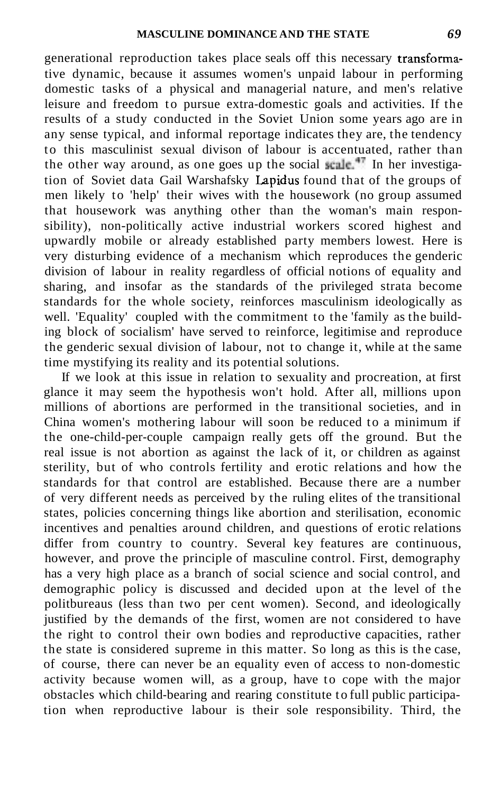generational reproduction takes place seals off this necessary transformative dynamic, because it assumes women's unpaid labour in performing domestic tasks of a physical and managerial nature, and men's relative leisure and freedom to pursue extra-domestic goals and activities. If the results of a study conducted in the Soviet Union some years ago are in any sense typical, and informal reportage indicates they are, the tendency to this masculinist sexual divison of labour is accentuated, rather than the other way around, as one goes up the social scale.<sup>47</sup> In her investigation of Soviet data Gail Warshafsky Lapidus found that of the groups of men likely to 'help' their wives with the housework (no group assumed that housework was anything other than the woman's main responsibility), non-politically active industrial workers scored highest and upwardly mobile or already established party members lowest. Here is very disturbing evidence of a mechanism which reproduces the genderic division of labour in reality regardless of official notions of equality and sharing, and insofar as the standards of the privileged strata become standards for the whole society, reinforces masculinism ideologically as well. 'Equality' coupled with the commitment to the 'family as the building block of socialism' have served to reinforce, legitimise and reproduce the genderic sexual division of labour, not to change it, while at the same time mystifying its reality and its potential solutions.

If we look at this issue in relation to sexuality and procreation, at first glance it may seem the hypothesis won't hold. After all, millions upon millions of abortions are performed in the transitional societies, and in China women's mothering labour will soon be reduced to a minimum if the one-child-per-couple campaign really gets off the ground. But the real issue is not abortion as against the lack of it, or children as against sterility, but of who controls fertility and erotic relations and how the standards for that control are established. Because there are a number of very different needs as perceived by the ruling elites of the transitional states, policies concerning things like abortion and sterilisation, economic incentives and penalties around children, and questions of erotic relations differ from country to country. Several key features are continuous, however, and prove the principle of masculine control. First, demography has a very high place as a branch of social science and social control, and demographic policy is discussed and decided upon at the level of the politbureaus (less than two per cent women). Second, and ideologically justified by the demands of the first, women are not considered to have the right to control their own bodies and reproductive capacities, rather the state is considered supreme in this matter. So long as this is the case, of course, there can never be an equality even of access to non-domestic activity because women will, as a group, have to cope with the major obstacles which child-bearing and rearing constitute to full public participation when reproductive labour is their sole responsibility. Third, the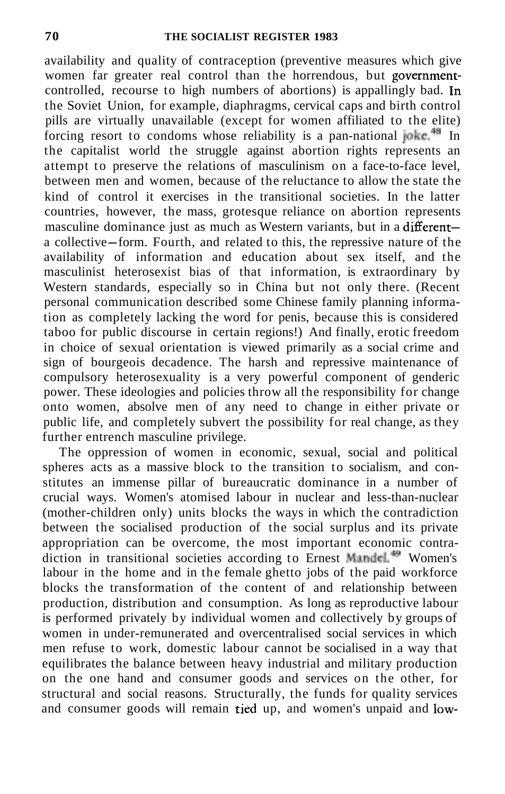availability and quality of contraception (preventive measures which give women far greater real control than the horrendous, but governmentcontrolled, recourse to high numbers of abortions) is appallingly bad. In the Soviet Union, for example, diaphragms, cervical caps and birth control pills are virtually unavailable (except for women affiliated to the elite) forcing resort to condoms whose reliability is a pan-national joke.<sup>48</sup> In the capitalist world the struggle against abortion rights represents an attempt to preserve the relations of masculinism on a face-to-face level, between men and women, because of the reluctance to allow the state the kind of control it exercises in the transitional societies. In the latter countries, however, the mass, grotesque reliance on abortion represents masculine dominance just as much as Western variants, but in a differenta collective-form. Fourth, and related to this, the repressive nature of the availability of information and education about sex itself, and the masculinist heterosexist bias of that information, is extraordinary by Western standards, especially so in China but not only there. (Recent personal communication described some Chinese family planning information as completely lacking the word for penis, because this is considered taboo for public discourse in certain regions!) And finally, erotic freedom in choice of sexual orientation is viewed primarily as a social crime and sign of bourgeois decadence. The harsh and repressive maintenance of compulsory heterosexuality is a very powerful component of genderic power. These ideologies and policies throw all the responsibility for change onto women, absolve men of any need to change in either private or public life, and completely subvert the possibility for real change, as they further entrench masculine privilege.

The oppression of women in economic, sexual, social and political spheres acts as a massive block to the transition to socialism, and constitutes an immense pillar of bureaucratic dominance in a number of crucial ways. Women's atomised labour in nuclear and less-than-nuclear (mother-children only) units blocks the ways in which the contradiction between the socialised production of the social surplus and its private appropriation can be overcome, the most important economic contradiction in transitional societies according to Ernest Mandel.<sup>49</sup> Women's labour in the home and in the female ghetto jobs of the paid workforce blocks the transformation of the content of and relationship between production, distribution and consumption. As long as reproductive labour is performed privately by individual women and collectively by groups of women in under-remunerated and overcentralised social services in which men refuse to work, domestic labour cannot be socialised in a way that equilibrates the balance between heavy industrial and military production on the one hand and consumer goods and services on the other, for structural and social reasons. Structurally, the funds for quality services and consumer goods will remain tied up, and women's unpaid and low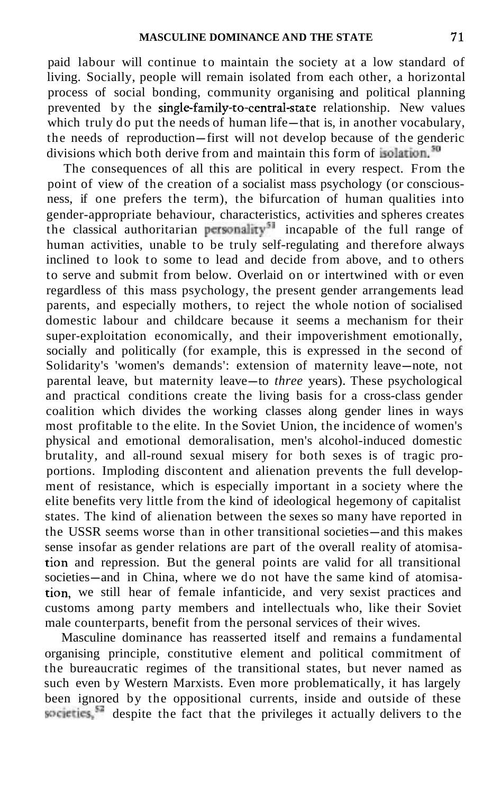paid labour will continue to maintain the society at a low standard of living. Socially, people will remain isolated from each other, a horizontal process of social bonding, community organising and political planning prevented by the single-family-to-central-state relationship. New values which truly do put the needs of human life-that is, in another vocabulary, the needs of reproduction-first will not develop because of the genderic divisions which both derive from and maintain this form of isolation.<sup>30</sup>

The consequences of all this are political in every respect. From the point of view of the creation of a socialist mass psychology (or consciousness, if one prefers the term), the bifurcation of human qualities into gender-appropriate behaviour, characteristics, activities and spheres creates the classical authoritarian **personality<sup>51</sup>** incapable of the full range of human activities, unable to be truly self-regulating and therefore always inclined to look to some to lead and decide from above, and to others to serve and submit from below. Overlaid on or intertwined with or even regardless of this mass psychology, the present gender arrangements lead parents, and especially mothers, to reject the whole notion of socialised domestic labour and childcare because it seems a mechanism for their super-exploitation economically, and their impoverishment emotionally, socially and politically (for example, this is expressed in the second of Solidarity's 'women's demands': extension of maternity leave-note, not parental leave, but maternity leave-to *three* years). These psychological and practical conditions create the living basis for a cross-class gender coalition which divides the working classes along gender lines in ways most profitable to the elite. In the Soviet Union, the incidence of women's physical and emotional demoralisation, men's alcohol-induced domestic brutality, and all-round sexual misery for both sexes is of tragic proportions. Imploding discontent and alienation prevents the full development of resistance, which is especially important in a society where the elite benefits very little from the kind of ideological hegemony of capitalist states. The kind of alienation between the sexes so many have reported in the USSR seems worse than in other transitional societies-and this makes sense insofar as gender relations are part of the overall reality of atomisation and repression. But the general points are valid for all transitional societies-and in China, where we do not have the same kind of atomisation, we still hear of female infanticide, and very sexist practices and customs among party members and intellectuals who, like their Soviet male counterparts, benefit from the personal services of their wives.

Masculine dominance has reasserted itself and remains a fundamental organising principle, constitutive element and political commitment of the bureaucratic regimes of the transitional states, but never named as such even by Western Marxists. Even more problematically, it has largely been ignored by the oppositional currents, inside and outside of these societies. $\mathbb{R}$  despite the fact that the privileges it actually delivers to the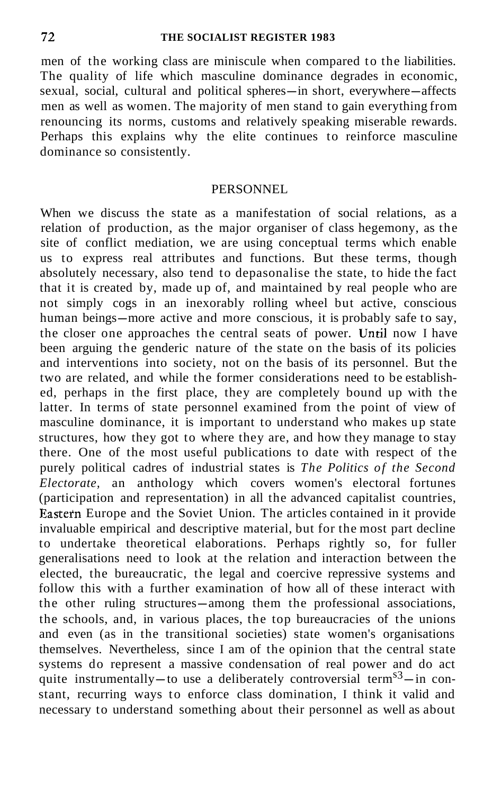men of the working class are miniscule when compared to the liabilities. The quality of life which masculine dominance degrades in economic, sexual, social, cultural and political spheres-in short, everywhere-affects men as well as women. The majority of men stand to gain everything from renouncing its norms, customs and relatively speaking miserable rewards. Perhaps this explains why the elite continues to reinforce masculine dominance so consistently.

#### PERSONNEL

When we discuss the state as a manifestation of social relations, as a relation of production, as the major organiser of class hegemony, as the site of conflict mediation, we are using conceptual terms which enable us to express real attributes and functions. But these terms, though absolutely necessary, also tend to depasonalise the state, to hide the fact that it is created by, made up of, and maintained by real people who are not simply cogs in an inexorably rolling wheel but active, conscious human beings-more active and more conscious, it is probably safe to say, the closer one approaches the central seats of power. Until now I have been arguing the genderic nature of the state on the basis of its policies and interventions into society, not on the basis of its personnel. But the two are related, and while the former considerations need to be established, perhaps in the first place, they are completely bound up with the latter. In terms of state personnel examined from the point of view of masculine dominance, it is important to understand who makes up state structures, how they got to where they are, and how they manage to stay there. One of the most useful publications to date with respect of the purely political cadres of industrial states is *The Politics of the Second Electorate,* an anthology which covers women's electoral fortunes (participation and representation) in all the advanced capitalist countries, Eastern Europe and the Soviet Union. The articles contained in it provide invaluable empirical and descriptive material, but for the most part decline to undertake theoretical elaborations. Perhaps rightly so, for fuller generalisations need to look at the relation and interaction between the elected, the bureaucratic, the legal and coercive repressive systems and follow this with a further examination of how all of these interact with the other ruling structures-among them the professional associations, the schools, and, in various places, the top bureaucracies of the unions and even (as in the transitional societies) state women's organisations themselves. Nevertheless, since I am of the opinion that the central state systems do represent a massive condensation of real power and do act quite instrumentally-to use a deliberately controversial term<sup>s3</sup>-in constant, recurring ways to enforce class domination, I think it valid and necessary to understand something about their personnel as well as about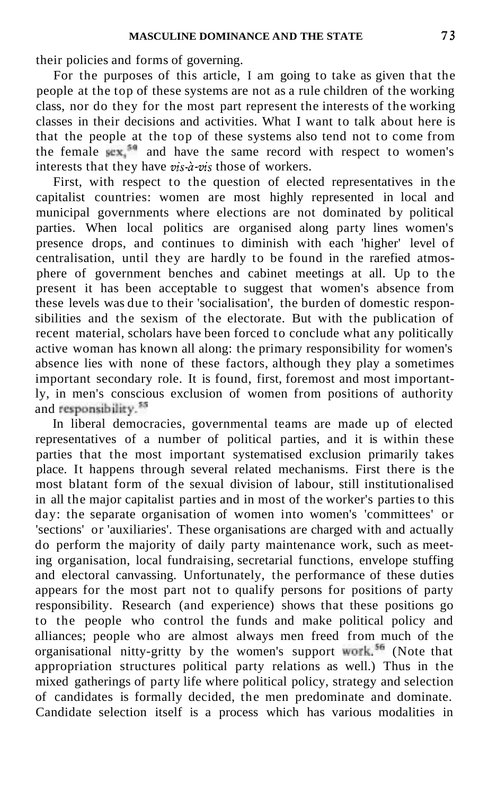their policies and forms of governing.

For the purposes of this article, I am going to take as given that the people at the top of these systems are not as a rule children of the working class, nor do they for the most part represent the interests of the working classes in their decisions and activities. What I want to talk about here is that the people at the top of these systems also tend not to come from the female  $\sin^{44}$  and have the same record with respect to women's interests that they have *vis-à-vis* those of workers.

First, with respect to the question of elected representatives in the capitalist countries: women are most highly represented in local and municipal governments where elections are not dominated by political parties. When local politics are organised along party lines women's presence drops, and continues to diminish with each 'higher' level of centralisation, until they are hardly to be found in the rarefied atmosphere of government benches and cabinet meetings at all. Up to the present it has been acceptable to suggest that women's absence from these levels was due to their 'socialisation', the burden of domestic responsibilities and the sexism of the electorate. But with the publication of recent material, scholars have been forced to conclude what any politically active woman has known all along: the primary responsibility for women's absence lies with none of these factors, although they play a sometimes important secondary role. It is found, first, foremost and most importantly, in men's conscious exclusion of women from positions of authority and responsibility.<sup>55</sup>

In liberal democracies, governmental teams are made up of elected representatives of a number of political parties, and it is within these parties that the most important systematised exclusion primarily takes place. It happens through several related mechanisms. First there is the most blatant form of the sexual division of labour, still institutionalised in all the major capitalist parties and in most of the worker's parties to this day: the separate organisation of women into women's 'committees' or 'sections' or 'auxiliaries'. These organisations are charged with and actually do perform the majority of daily party maintenance work, such as meeting organisation, local fundraising, secretarial functions, envelope stuffing and electoral canvassing. Unfortunately, the performance of these duties appears for the most part not to qualify persons for positions of party responsibility. Research (and experience) shows that these positions go to the people who control the funds and make political policy and alliances; people who are almost always men freed from much of the organisational nitty-gritty by the women's support work.<sup>56</sup> (Note that appropriation structures political party relations as well.) Thus in the mixed gatherings of party life where political policy, strategy and selection of candidates is formally decided, the men predominate and dominate. Candidate selection itself is a process which has various modalities in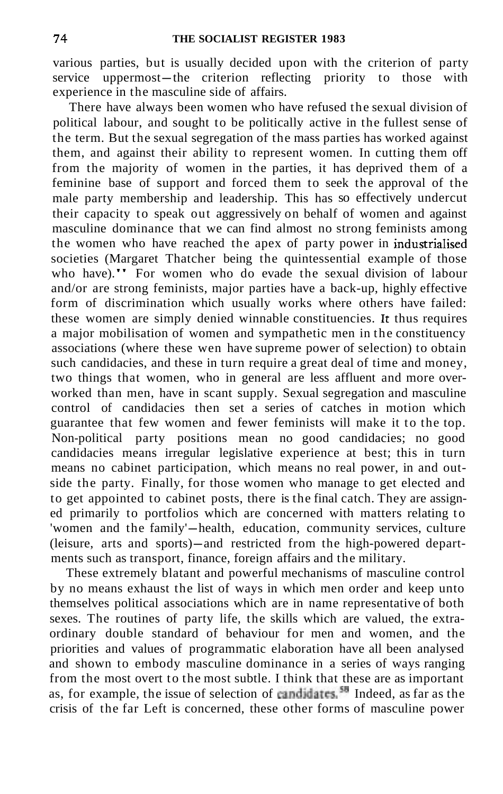various parties, but is usually decided upon with the criterion of party service uppermost—the criterion reflecting priority to those with experience in the masculine side of affairs.

There have always been women who have refused the sexual division of political labour, and sought to be politically active in the fullest sense of the term. But the sexual segregation of the mass parties has worked against them, and against their ability to represent women. In cutting them off from the majority of women in the parties, it has deprived them of a feminine base of support and forced them to seek the approval of the male party membership and leadership. This has so effectively undercut their capacity to speak out aggressively on behalf of women and against masculine dominance that we can find almost no strong feminists among the women who have reached the apex of party power in industrialised societies (Margaret Thatcher being the quintessential example of those who have)." For women who do evade the sexual division of labour and/or are strong feminists, major parties have a back-up, highly effective form of discrimination which usually works where others have failed: these women are simply denied winnable constituencies. It thus requires a major mobilisation of women and sympathetic men in the constituency associations (where these wen have supreme power of selection) to obtain such candidacies, and these in turn require a great deal of time and money, two things that women, who in general are less affluent and more overworked than men, have in scant supply. Sexual segregation and masculine control of candidacies then set a series of catches in motion which guarantee that few women and fewer feminists will make it to the top. Non-political party positions mean no good candidacies; no good candidacies means irregular legislative experience at best; this in turn means no cabinet participation, which means no real power, in and outside the party. Finally, for those women who manage to get elected and to get appointed to cabinet posts, there is the final catch. They are assigned primarily to portfolios which are concerned with matters relating to 'women and the family'-health, education, community services, culture (leisure, arts and sports)-and restricted from the high-powered departments such as transport, finance, foreign affairs and the military.

These extremely blatant and powerful mechanisms of masculine control by no means exhaust the list of ways in which men order and keep unto themselves political associations which are in name representative of both sexes. The routines of party life, the skills which are valued, the extraordinary double standard of behaviour for men and women, and the priorities and values of programmatic elaboration have all been analysed and shown to embody masculine dominance in a series of ways ranging from the most overt to the most subtle. I think that these are as important as, for example, the issue of selection of candidates.<sup>58</sup> Indeed, as far as the crisis of the far Left is concerned, these other forms of masculine power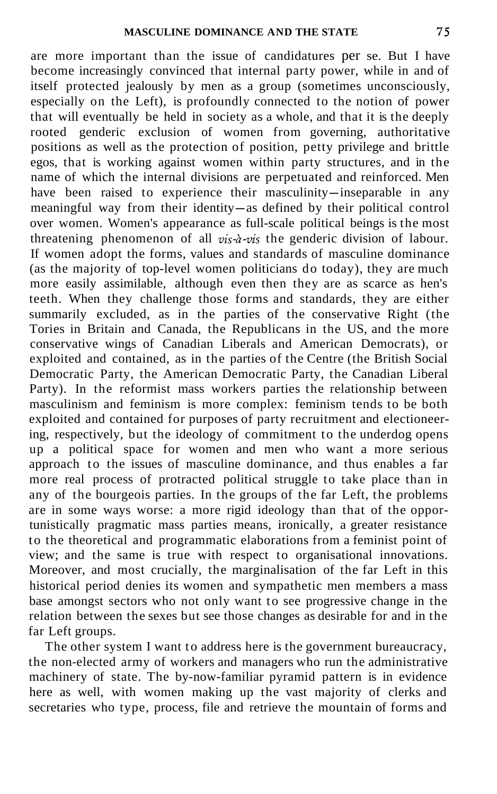are more important than the issue of candidatures per se. But I have become increasingly convinced that internal party power, while in and of itself protected jealously by men as a group (sometimes unconsciously, especially on the Left), is profoundly connected to the notion of power that will eventually be held in society as a whole, and that it is the deeply rooted genderic exclusion of women from governing, authoritative positions as well as the protection of position, petty privilege and brittle egos, that is working against women within party structures, and in the name of which the internal divisions are perpetuated and reinforced. Men have been raised to experience their masculinity-inseparable in any meaningful way from their identity-as defined by their political control over women. Women's appearance as full-scale political beings is the most threatening phenomenon of all  $vis\cdot\hat{a}-vis$  the genderic division of labour. If women adopt the forms, values and standards of masculine dominance (as the majority of top-level women politicians do today), they are much more easily assimilable, although even then they are as scarce as hen's teeth. When they challenge those forms and standards, they are either summarily excluded, as in the parties of the conservative Right (the Tories in Britain and Canada, the Republicans in the US, and the more conservative wings of Canadian Liberals and American Democrats), or exploited and contained, as in the parties of the Centre (the British Social Democratic Party, the American Democratic Party, the Canadian Liberal Party). In the reformist mass workers parties the relationship between masculinism and feminism is more complex: feminism tends to be both exploited and contained for purposes of party recruitment and electioneering, respectively, but the ideology of commitment to the underdog opens up a political space for women and men who want a more serious approach to the issues of masculine dominance, and thus enables a far more real process of protracted political struggle to take place than in any of the bourgeois parties. In the groups of the far Left, the problems are in some ways worse: a more rigid ideology than that of the opportunistically pragmatic mass parties means, ironically, a greater resistance to the theoretical and programmatic elaborations from a feminist point of view; and the same is true with respect to organisational innovations. Moreover, and most crucially, the marginalisation of the far Left in this historical period denies its women and sympathetic men members a mass base amongst sectors who not only want to see progressive change in the relation between the sexes but see those changes as desirable for and in the far Left groups.

The other system I want to address here is the government bureaucracy, the non-elected army of workers and managers who run the administrative machinery of state. The by-now-familiar pyramid pattern is in evidence here as well, with women making up the vast majority of clerks and secretaries who type, process, file and retrieve the mountain of forms and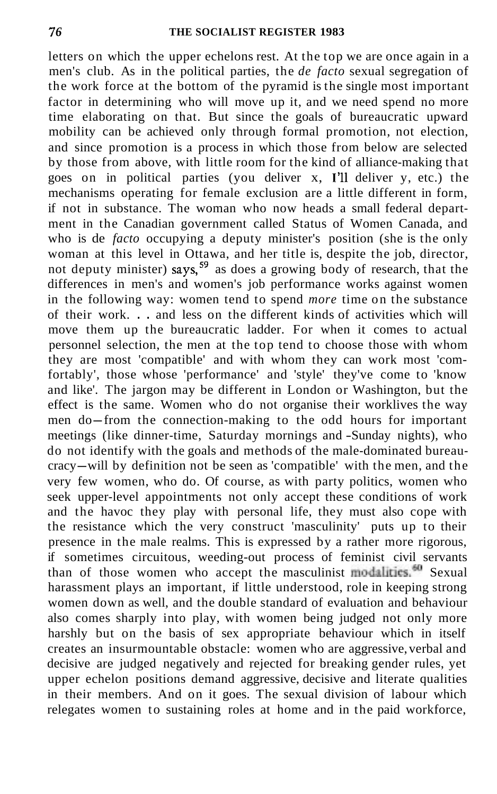letters on which the upper echelons rest. At the top we are once again in a men's club. As in the political parties, the *de facto* sexual segregation of the work force at the bottom of the pyramid is the single most important factor in determining who will move up it, and we need spend no more time elaborating on that. But since the goals of bureaucratic upward mobility can be achieved only through formal promotion, not election, and since promotion is a process in which those from below are selected by those from above, with little room for the kind of alliance-making that goes on in political parties (you deliver x, I'll deliver y, etc.) the mechanisms operating for female exclusion are a little different in form, if not in substance. The woman who now heads a small federal department in the Canadian government called Status of Women Canada, and who is de *facto* occupying a deputy minister's position (she is the only woman at this level in Ottawa, and her title is, despite the job, director, not deputy minister) says,<sup>59</sup> as does a growing body of research, that the differences in men's and women's job performance works against women in the following way: women tend to spend *more* time on the substance of their work. . . and less on the different kinds of activities which will move them up the bureaucratic ladder. For when it comes to actual personnel selection, the men at the top tend to choose those with whom they are most 'compatible' and with whom they can work most 'comfortably', those whose 'performance' and 'style' they've come to 'know and like'. The jargon may be different in London or Washington, but the effect is the same. Women who do not organise their worklives the way men do-from the connection-making to the odd hours for important meetings (like dinner-time, Saturday mornings and -Sunday nights), who do not identify with the goals and methods of the male-dominated bureaucracy-will by definition not be seen as 'compatible' with the men, and the very few women, who do. Of course, as with party politics, women who seek upper-level appointments not only accept these conditions of work and the havoc they play with personal life, they must also cope with the resistance which the very construct 'masculinity' puts up to their presence in the male realms. This is expressed by a rather more rigorous, if sometimes circuitous, weeding-out process of feminist civil servants than of those women who accept the masculinist modalities.<sup>60</sup> Sexual harassment plays an important, if little understood, role in keeping strong women down as well, and the double standard of evaluation and behaviour also comes sharply into play, with women being judged not only more harshly but on the basis of sex appropriate behaviour which in itself creates an insurmountable obstacle: women who are aggressive, verbal and decisive are judged negatively and rejected for breaking gender rules, yet upper echelon positions demand aggressive, decisive and literate qualities in their members. And on it goes. The sexual division of labour which relegates women to sustaining roles at home and in the paid workforce,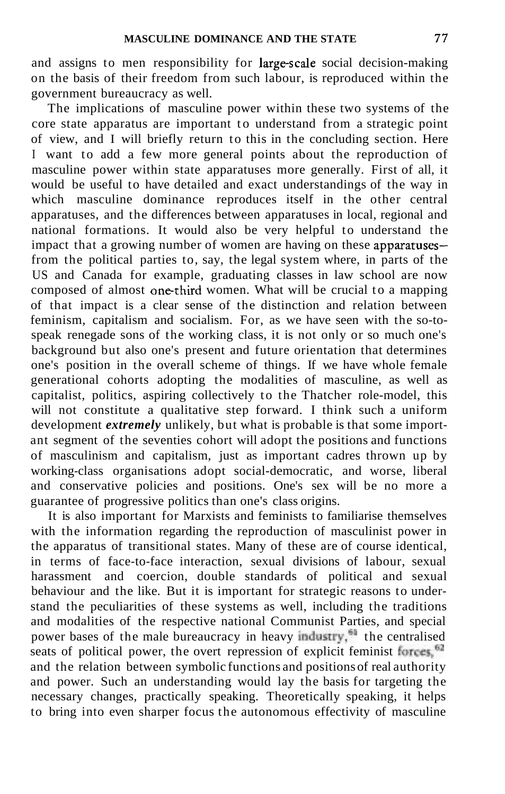and assigns to men responsibility for largescale social decision-making on the basis of their freedom from such labour, is reproduced within the government bureaucracy as well.

The implications of masculine power within these two systems of the core state apparatus are important to understand from a strategic point of view, and I will briefly return to this in the concluding section. Here I want to add a few more general points about the reproduction of masculine power within state apparatuses more generally. First of all, it would be useful to have detailed and exact understandings of the way in which masculine dominance reproduces itself in the other central apparatuses, and the differences between apparatuses in local, regional and national formations. It would also be very helpful to understand the impact that a growing number of women are having on these apparatusesfrom the political parties to, say, the legal system where, in parts of the US and Canada for example, graduating classes in law school are now composed of almost onethird women. What will be crucial to a mapping of that impact is a clear sense of the distinction and relation between feminism, capitalism and socialism. For, as we have seen with the so-tospeak renegade sons of the working class, it is not only or so much one's background but also one's present and future orientation that determines one's position in the overall scheme of things. If we have whole female generational cohorts adopting the modalities of masculine, as well as capitalist, politics, aspiring collectively to the Thatcher role-model, this will not constitute a qualitative step forward. I think such a uniform development *extremely* unlikely, but what is probable is that some important segment of the seventies cohort will adopt the positions and functions of masculinism and capitalism, just as important cadres thrown up by working-class organisations adopt social-democratic, and worse, liberal and conservative policies and positions. One's sex will be no more a guarantee of progressive politics than one's class origins.

It is also important for Marxists and feminists to familiarise themselves with the information regarding the reproduction of masculinist power in the apparatus of transitional states. Many of these are of course identical, in terms of face-to-face interaction, sexual divisions of labour, sexual harassment and coercion, double standards of political and sexual behaviour and the like. But it is important for strategic reasons to understand the peculiarities of these systems as well, including the traditions and modalities of the respective national Communist Parties, and special power bases of the male bureaucracy in heavy industry,<sup>61</sup> the centralised seats of political power, the overt repression of explicit feminist forces,  $62$ and the relation between symbolic functions and positions of real authority and power. Such an understanding would lay the basis for targeting the necessary changes, practically speaking. Theoretically speaking, it helps to bring into even sharper focus the autonomous effectivity of masculine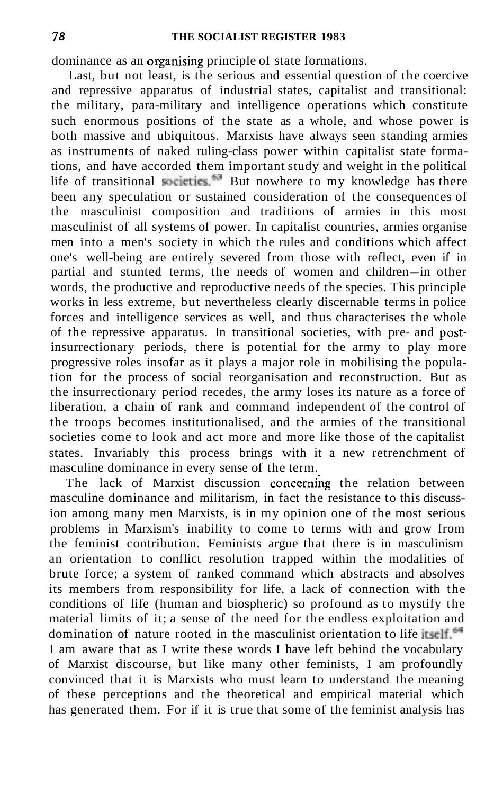dominance as an organising principle of state formations.

Last, but not least, is the serious and essential question of the coercive and repressive apparatus of industrial states, capitalist and transitional: the military, para-military and intelligence operations which constitute such enormous positions of the state as a whole, and whose power is both massive and ubiquitous. Marxists have always seen standing armies as instruments of naked ruling-class power within capitalist state formations, and have accorded them important study and weight in the political life of transitional societies.<sup>63</sup> But nowhere to my knowledge has there been any speculation or sustained consideration of the consequences of the masculinist composition and traditions of armies in this most masculinist of all systems of power. In capitalist countries, armies organise men into a men's society in which the rules and conditions which affect one's well-being are entirely severed from those with reflect, even if in partial and stunted terms, the needs of women and children-in other words, the productive and reproductive needs of the species. This principle works in less extreme, but nevertheless clearly discernable terms in police forces and intelligence services as well, and thus characterises the whole of the repressive apparatus. In transitional societies, with pre- and postinsurrectionary periods, there is potential for the army to play more progressive roles insofar as it plays a major role in mobilising the population for the process of social reorganisation and reconstruction. But as the insurrectionary period recedes, the army loses its nature as a force of liberation, a chain of rank and command independent of the control of the troops becomes institutionalised, and the armies of the transitional societies come to look and act more and more like those of the capitalist states. Invariably this process brings with it a new retrenchment of masculine dominance in every sense of the term.

The lack of Marxist discussion concerning the relation between masculine dominance and militarism, in fact the resistance to this discussion among many men Marxists, is in my opinion one of the most serious problems in Marxism's inability to come to terms with and grow from the feminist contribution. Feminists argue that there is in masculinism an orientation to conflict resolution trapped within the modalities of brute force; a system of ranked command which abstracts and absolves its members from responsibility for life, a lack of connection with the conditions of life (human and biospheric) so profound as to mystify the material limits of it; a sense of the need for the endless exploitation and domination of nature rooted in the masculinist orientation to life itself.<sup>64</sup> I am aware that as I write these words I have left behind the vocabulary of Marxist discourse, but like many other feminists, I am profoundly convinced that it is Marxists who must learn to understand the meaning of these perceptions and the theoretical and empirical material which has generated them. For if it is true that some of the feminist analysis has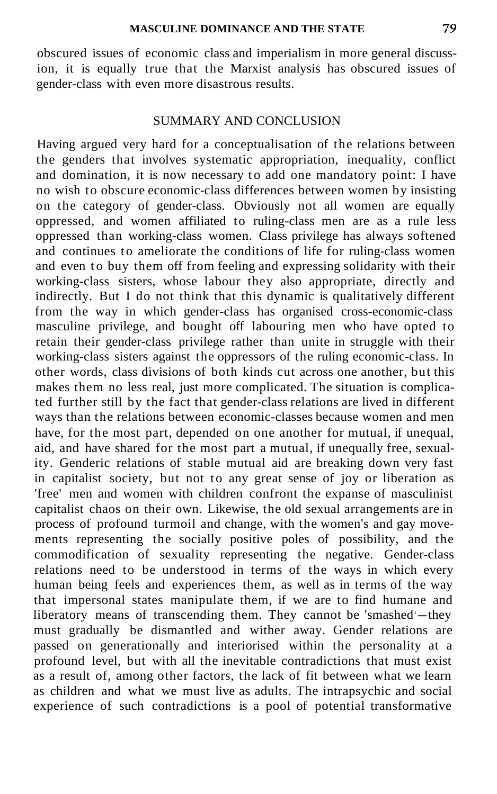obscured issues of economic class and imperialism in more general discussion, it is equally true that the Marxist analysis has obscured issues of gender-class with even more disastrous results.

### SUMMARY AND CONCLUSION

Having argued very hard for a conceptualisation of the relations between the genders that involves systematic appropriation, inequality, conflict and domination, it is now necessary to add one mandatory point: I have no wish to obscure economic-class differences between women by insisting on the category of gender-class. Obviously not all women are equally oppressed, and women affiliated to ruling-class men are as a rule less oppressed than working-class women. Class privilege has always softened and continues to ameliorate the conditions of life for ruling-class women and even to buy them off from feeling and expressing solidarity with their working-class sisters, whose labour they also appropriate, directly and indirectly. But I do not think that this dynamic is qualitatively different from the way in which gender-class has organised cross-economic-class masculine privilege, and bought off labouring men who have opted to retain their gender-class privilege rather than unite in struggle with their working-class sisters against the oppressors of the ruling economic-class. In other words, class divisions of both kinds cut across one another, but this makes them no less real, just more complicated. The situation is complicated further still by the fact that gender-class relations are lived in different ways than the relations between economic-classes because women and men have, for the most part, depended on one another for mutual, if unequal, aid, and have shared for the most part a mutual, if unequally free, sexuality. Genderic relations of stable mutual aid are breaking down very fast in capitalist society, but not to any great sense of joy or liberation as 'free' men and women with children confront the expanse of masculinist capitalist chaos on their own. Likewise, the old sexual arrangements are in process of profound turmoil and change, with the women's and gay movements representing the socially positive poles of possibility, and the commodification of sexuality representing the negative. Gender-class relations need to be understood in terms of the ways in which every human being feels and experiences them, as well as in terms of the way that impersonal states manipulate them, if we are to find humane and that impersonal states manipulate them, if we are to find humane and liberatory means of transcending them. They cannot be 'smashed'—they must gradually be dismantled and wither away. Gender relations are passed on generationally and interiorised within the personality at a profound level, but with all the inevitable contradictions that must exist as a result of, among other factors, the lack of fit between what we learn as children and what we must live as adults. The intrapsychic and social experience of such contradictions is a pool of potential transformative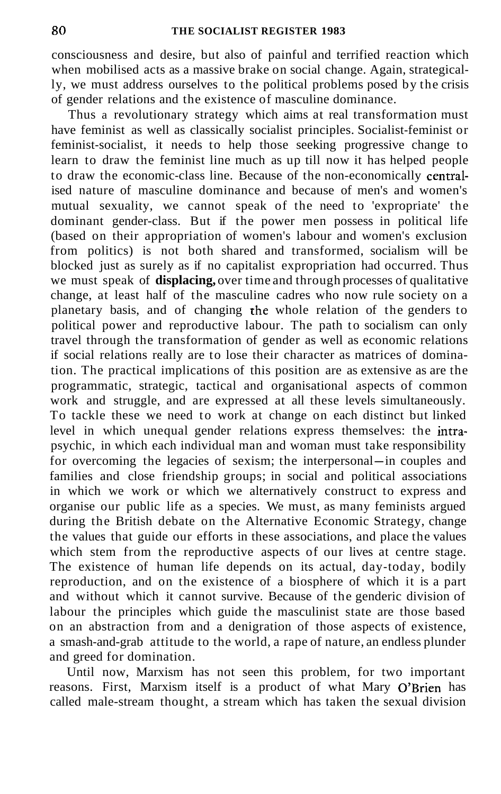consciousness and desire, but also of painful and terrified reaction which when mobilised acts as a massive brake on social change. Again, strategically, we must address ourselves to the political problems posed by the crisis of gender relations and the existence of masculine dominance.

Thus a revolutionary strategy which aims at real transformation must have feminist as well as classically socialist principles. Socialist-feminist or feminist-socialist, it needs to help those seeking progressive change to learn to draw the feminist line much as up till now it has helped people to draw the economic-class line. Because of the non-economically centralised nature of masculine dominance and because of men's and women's mutual sexuality, we cannot speak of the need to 'expropriate' the dominant gender-class. But if the power men possess in political life (based on their appropriation of women's labour and women's exclusion from politics) is not both shared and transformed, socialism will be blocked just as surely as if no capitalist expropriation had occurred. Thus we must speak of **displacing**, over time and through processes of qualitative change, at least half of the masculine cadres who now rule society on a planetary basis, and of changing the whole relation of the genders to political power and reproductive labour. The path to socialism can only travel through the transformation of gender as well as economic relations if social relations really are to lose their character as matrices of domination. The practical implications of this position are as extensive as are the programmatic, strategic, tactical and organisational aspects of common work and struggle, and are expressed at all these levels simultaneously. To tackle these we need to work at change on each distinct but linked level in which unequal gender relations express themselves: the intrapsychic, in which each individual man and woman must take responsibility for overcoming the legacies of sexism; the interpersonal-in couples and families and close friendship groups; in social and political associations in which we work or which we alternatively construct to express and organise our public life as a species. We must, as many feminists argued during the British debate on the Alternative Economic Strategy, change the values that guide our efforts in these associations, and place the values which stem from the reproductive aspects of our lives at centre stage. The existence of human life depends on its actual, day-today, bodily reproduction, and on the existence of a biosphere of which it is a part and without which it cannot survive. Because of the genderic division of labour the principles which guide the masculinist state are those based on an abstraction from and a denigration of those aspects of existence, a smash-and-grab attitude to the world, a rape of nature, an endless plunder and greed for domination.

Until now, Marxism has not seen this problem, for two important reasons. First, Marxism itself is a product of what Mary O'Brien has called male-stream thought, a stream which has taken the sexual division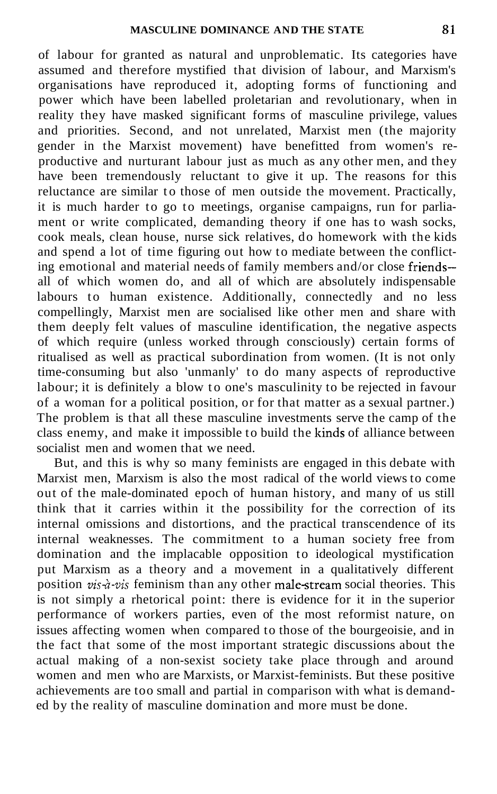of labour for granted as natural and unproblematic. Its categories have assumed and therefore mystified that division of labour, and Marxism's organisations have reproduced it, adopting forms of functioning and power which have been labelled proletarian and revolutionary, when in reality they have masked significant forms of masculine privilege, values and priorities. Second, and not unrelated, Marxist men (the majority gender in the Marxist movement) have benefitted from women's reproductive and nurturant labour just as much as any other men, and they have been tremendously reluctant to give it up. The reasons for this reluctance are similar to those of men outside the movement. Practically, it is much harder to go to meetings, organise campaigns, run for parliament or write complicated, demanding theory if one has to wash socks, cook meals, clean house, nurse sick relatives, do homework with the kids and spend a lot of time figuring out how to mediate between the conflicting emotional and material needs of family members and/or close friendsall of which women do, and all of which are absolutely indispensable labours to human existence. Additionally, connectedly and no less compellingly, Marxist men are socialised like other men and share with them deeply felt values of masculine identification, the negative aspects of which require (unless worked through consciously) certain forms of ritualised as well as practical subordination from women. (It is not only time-consuming but also 'unmanly' to do many aspects of reproductive labour; it is definitely a blow to one's masculinity to be rejected in favour of a woman for a political position, or for that matter as a sexual partner.) The problem is that all these masculine investments serve the camp of the class enemy, and make it impossible to build the kinds of alliance between socialist men and women that we need.

But, and this is why so many feminists are engaged in this debate with Marxist men, Marxism is also the most radical of the world views to come out of the male-dominated epoch of human history, and many of us still think that it carries within it the possibility for the correction of its internal omissions and distortions, and the practical transcendence of its internal weaknesses. The commitment to a human society free from domination and the implacable opposition to ideological mystification put Marxism as a theory and a movement in a qualitatively different position  $\frac{\partial}{\partial s} \dot{\alpha} - \frac{\partial}{\partial s} s$  feminism than any other male-stream social theories. This is not simply a rhetorical point: there is evidence for it in the superior performance of workers parties, even of the most reformist nature, on issues affecting women when compared to those of the bourgeoisie, and in the fact that some of the most important strategic discussions about the actual making of a non-sexist society take place through and around women and men who are Marxists, or Marxist-feminists. But these positive achievements are too small and partial in comparison with what is demanded by the reality of masculine domination and more must be done.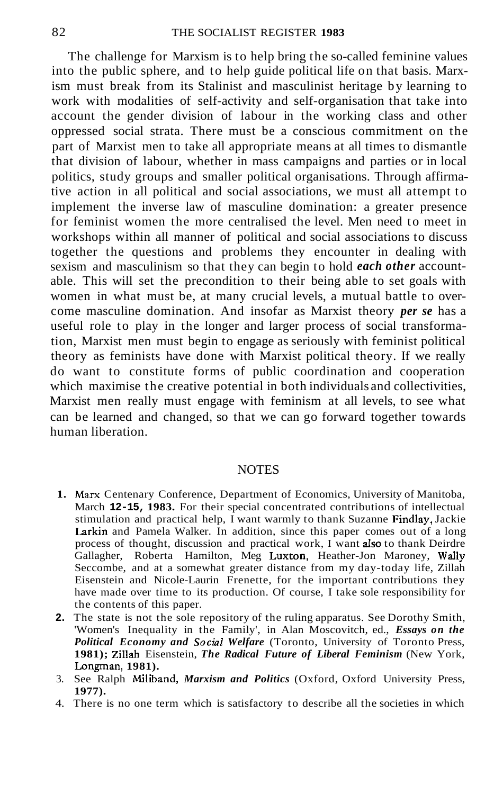The challenge for Marxism is to help bring the so-called feminine values into the public sphere, and to help guide political life on that basis. Marxism must break from its Stalinist and masculinist heritage by learning to work with modalities of self-activity and self-organisation that take into account the gender division of labour in the working class and other oppressed social strata. There must be a conscious commitment on the part of Marxist men to take all appropriate means at all times to dismantle that division of labour, whether in mass campaigns and parties or in local politics, study groups and smaller political organisations. Through affirmative action in all political and social associations, we must all attempt to implement the inverse law of masculine domination: a greater presence for feminist women the more centralised the level. Men need to meet in workshops within all manner of political and social associations to discuss together the questions and problems they encounter in dealing with sexism and masculinism so that they can begin to hold *each other* accountable. This will set the precondition to their being able to set goals with women in what must be, at many crucial levels, a mutual battle to overcome masculine domination. And insofar as Marxist theory *per se* has a useful role to play in the longer and larger process of social transformation, Marxist men must begin to engage as seriously with feminist political theory as feminists have done with Marxist political theory. If we really do want to constitute forms of public coordination and cooperation which maximise the creative potential in both individuals and collectivities, Marxist men really must engage with feminism at all levels, to see what can be learned and changed, so that we can go forward together towards human liberation.

#### **NOTES**

- **1. Marx** Centenary Conference, Department of Economics, University of Manitoba, March **12-15, 1983.** For their special concentrated contributions of intellectual stimulation and practical help, I want warmly to thank Suzanne Findlay, Jackie Larkin and Pamela Walker. In addition, since this paper comes out of a long process of thought, discussion and practical work, I want also to thank Deirdre Gallagher, Roberta Hamilton, Meg Luxton, Heather-Jon Maroney, Wally Seccombe, and at a somewhat greater distance from my day-today life, Zillah Eisenstein and Nicole-Laurin Frenette, for the important contributions they have made over time to its production. Of course, I take sole responsibility for the contents of this paper.
- **2.** The state is not the sole repository of the ruling apparatus. See Dorothy Smith, 'Women's Inequality in the Family', in Alan Moscovitch, ed., *Essays on the Political Economy and Sock1 Welfare* (Toronto, University of Toronto Press, **1981);** Zillah Eisenstein, *The Radical Future of Liberal Feminism* (New York, Longman, **1981).**
- 3. See Ralph Miliband, *Marxism and Politics* (Oxford, Oxford University Press, **1977).**
- 4. There is no one term which is satisfactory to describe all the societies in which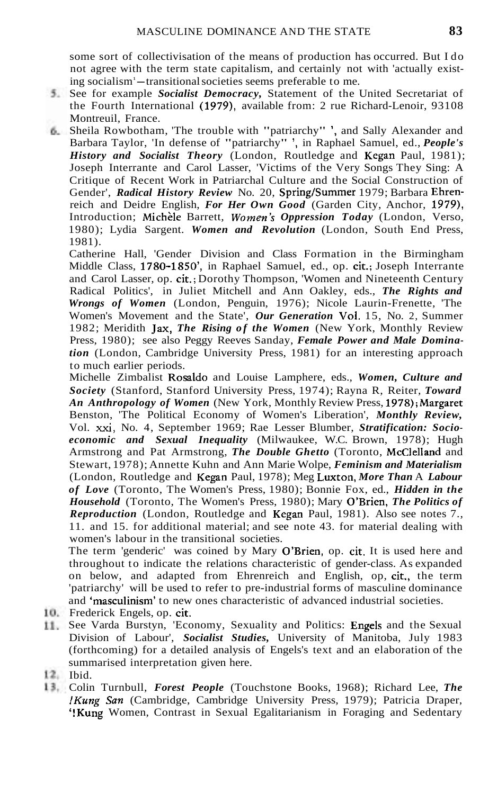some sort of collectivisation of the means of production has occurred. But I do not agree with the term state capitalism, and certainly not with 'actually exist-<br>ing socialism' – transitional societies seems preferable to me. ing socialism<sup>1</sup>-transitional societies seems preferable to me.

- See for example *Socialist Democracy,* Statement of the United Secretariat of the Fourth International (1979), available from: 2 rue Richard-Lenoir, 93108 Montreuil, France.
- Sheila Rowbotham, 'The trouble with "patriarchy" ', and Sally Alexander and Barbara Taylor, 'In defense of "patriarchy" ', in Raphael Samuel, ed., *People's History and Socialist Theory* (London, Routledge and Kegan Paul, 1981); Joseph Interrante and Carol Lasser, 'Victims of the Very Songs They Sing: A Critique of Recent Work in Patriarchal Culture and the Social Construction of Gender', *Radical History Review* No. 20, Spring/Summer 1979; Barbara Ehrenreich and Deidre English, *For Her Own Good* (Garden City, Anchor, 1979), Introduction; Michèle Barrett, Women's Oppression Today (London, Verso, 1980); Lydia Sargent. *Women and Revolution* (London, South End Press, 1981).

Catherine Hall, 'Gender Division and Class Formation in the Birmingham Middle Class, 1780-1850', in Raphael Samuel, ed., op. cit.; Joseph Interrante and Carol Lasser, op. cit.; Dorothy Thompson, 'Women and Nineteenth Century Radical Politics', in Juliet Mitchell and Ann Oakley, eds., *The Rights and Wrongs of Women* (London, Penguin, 1976); Nicole Laurin-Frenette, 'The Women's Movement and the State', *Our Generation* Vol. 15, No. 2, Summer 1982; Meridith **Jax,** *The Rising of the Women* (New York, Monthly Review Press, 1980); see also Peggy Reeves Sanday, *Female Power and Male Domination* (London, Cambridge University Press, 1981) for an interesting approach to much earlier periods.

Michelle Zimbalist Rosaldo and Louise Lamphere, eds., *Women, Culture and Society* (Stanford, Stanford University Press, 1974); Rayna R, Reiter, *Toward*  An Anthropology of Women (New York, Monthly Review Press, 1978); Margaret Benston, 'The Political Economy of Women's Liberation', *Monthly Review,*  Vol. **xxi,** No. 4, September 1969; Rae Lesser Blumber, *Stratification: Socioeconomic and Sexual Inequality* (Milwaukee, W.C. Brown, 1978); Hugh Armstrong and Pat Armstrong, *The Double Ghetto* (Toronto, McClelland and Stewart, 1978); Annette Kuhn and Ann Marie Wolpe, *Feminism and Materialism*  (London, Routledge and Kegan Paul, 1978); Meg Luxton, *More Than* A *Labour of Love* (Toronto, The Women's Press, 1980); Bonnie Fox, ed., *Hidden in the Household* (Toronto, The Women's Press, 1980); Mary O'Brien, *The Politics of Reproduction* (London, Routledge and Kegan Paul, 1981). Also see notes 7., 11. and 15. for additional material; and see note 43. for material dealing with women's labour in the transitional societies.

The term 'genderic' was coined by Mary O'Brien, op. cit. It is used here and throughout to indicate the relations characteristic of gender-class. As expanded on below, and adapted from Ehrenreich and English, op, cit., the term 'patriarchy' will be used to refer to pre-industrial forms of masculine dominance and 'masculinism' to new ones characteristic of advanced industrial societies.

- 10. Frederick Engels, op. cit.
- 11. See Varda Burstyn, 'Economy, Sexuality and Politics: Engels and the Sexual Division of Labour', *Socialist Studies,* University of Manitoba, July 1983 (forthcoming) for a detailed analysis of Engels's text and an elaboration of the summarised interpretation given here.
- Ibid.
- Colin Turnbull, *Forest People* (Touchstone Books, 1968); Richard Lee, *The !Kung Sun* (Cambridge, Cambridge University Press, 1979); Patricia Draper, '!Kung Women, Contrast in Sexual Egalitarianism in Foraging and Sedentary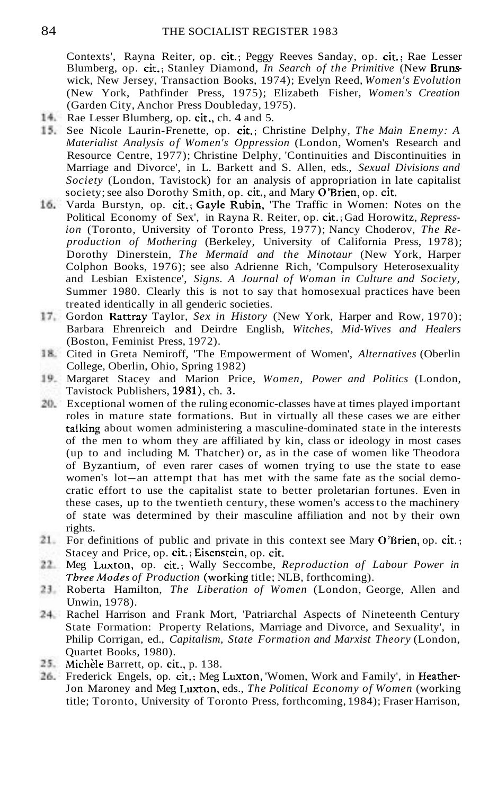Contexts', Rayna Reiter, op. cit.; Peggy Reeves Sanday, op. cit.; Rae Lesser Blumberg, op. cit.; Stanley Diamond, *In Search of the Primitive* (New Bruns wick, New Jersey, Transaction Books, 1974); Evelyn Reed, *Women's Evolution*  (New York, Pathfinder Press, 1975); Elizabeth Fisher, *Women's Creation*  (Garden City, Anchor Press Doubleday, 1975).

- 14. Rae Lesser Blumberg, op. cit., ch. 4 and 5.
- See Nicole Laurin-Frenette, op. cit.; Christine Delphy, *The Main Enemy: A Materialist Analysis of Women's Oppression* (London, Women's Research and Resource Centre, 1977); Christine Delphy, 'Continuities and Discontinuities in Marriage and Divorce', in L. Barkett and S. Allen, eds., *Sexual Divisions and Society* (London, Tavistock) for an analysis of appropriation in late capitalist society; see also Dorothy Smith, op. cit., and Mary O'Brien, op. cit.
- Varda Burstyn, op. cit.; Gayle Rubin, 'The Traffic in Women: Notes on the Political Economy of Sex', in Rayna R. Reiter, op. cit.; Gad Horowitz, *Repression* (Toronto, University of Toronto Press, 1977); Nancy Choderov, *The Reproduction of Mothering* (Berkeley, University of California Press, 1978); Dorothy Dinerstein, *The Mermaid and the Minotaur* (New York, Harper Colphon Books, 1976); see also Adrienne Rich, 'Compulsory Heterosexuality and Lesbian Existence', *Signs. A Journal of Woman in Culture and Society,*  Summer 1980. Clearly this is not to say that homosexual practices have been treated identically in all genderic societies.
- Gordon Rattray Taylor, *Sex in History* (New York, Harper and Row, 1970); Barbara Ehrenreich and Deirdre English, *Witches, Mid-Wives and Healers*  (Boston, Feminist Press, 1972).
- Cited in Greta Nemiroff, 'The Empowerment of Women', *Alternatives* (Oberlin College, Oberlin, Ohio, Spring 1982)
- Margaret Stacey and Marion Price, *Women, Power and Politics* (London, Tavistock Publishers, 1981), ch. **3.**
- Exceptional women of the ruling economic-classes have at times played important roles in mature state formations. But in virtually all these cases we are either talking about women administering a masculine-dominated state in the interests of the men to whom they are affiliated by kin, class or ideology in most cases (up to and including M. Thatcher) or, as in the case of women like Theodora of Byzantium, of even rarer cases of women trying to use the state to ease women's lot-an attempt that has met with the same fate as the social democratic effort to use the capitalist state to better proletarian fortunes. Even in these cases, up to the twentieth century, these women's access to the machinery of state was determined by their masculine affiliation and not by their own rights.
- For definitions of public and private in this context see Mary O'Brien, op. cit.; Stacey and Price, op. cit.; Eisenstein, op. cit.
- Meg Luxton, op. cit.; Wally Seccombe, *Reproduction of Labour Power in Three Modes of Production* (working title; NLB, forthcoming).
- Roberta Hamilton, *The Liberation of Women* (London, George, Allen and Unwin, 1978).
- Rachel Harrison and Frank Mort, 'Patriarchal Aspects of Nineteenth Century State Formation: Property Relations, Marriage and Divorce, and Sexuality', in Philip Corrigan, ed., *Capitalism, State Formation and Marxist Theory* (London, Quartet Books, 1980).
- 25. Michèle Barrett, op. cit., p. 138.
- Frederick Engels, op. cit.; Meg Luxton, 'Women, Work and Family', in Heather-Jon Maroney and Meg Luxton, eds., *The Political Economy of Women* (working title; Toronto, University of Toronto Press, forthcoming, 1984); Fraser Harrison,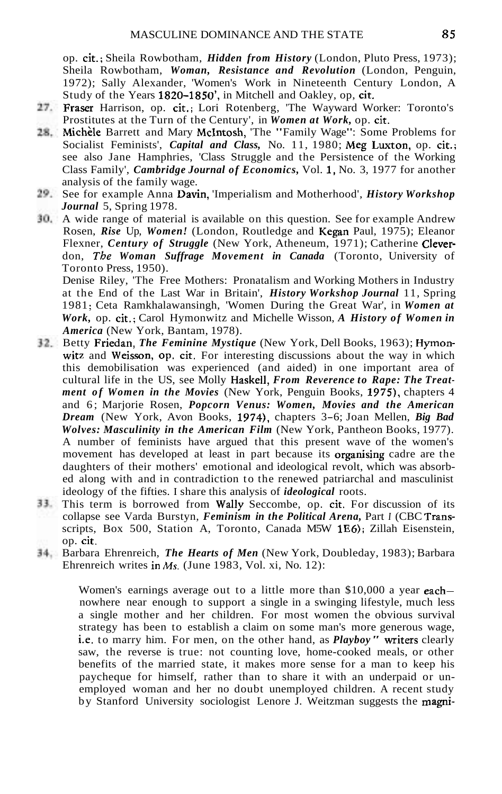op. cit.; Sheila Rowbotham, *Hidden from History* (London, Pluto Press, 1973); Sheila Rowbotham, *Woman, Resistance and Revolution* (London, Penguin, 1972); Sally Alexander, 'Women's Work in Nineteenth Century London, A Study of the Years 1820-1850', in Mitchell and Oakley, op, cit.

- Fraser Harrison, op. cit.; Lori Rotenberg, 'The Wayward Worker: Toronto's Prostitutes at the Turn of the Century', in *Women at Work,* op. cit.
- 28. Michèle Barrett and Mary McIntosh, 'The "Family Wage": Some Problems for Socialist Feminists', *Capital and Class*, No. 11, 1980; Meg Luxton, op. cit.; see also Jane Hamphries, 'Class Struggle and the Persistence of the Working Class Family', *Cambridge Journal of Economics,* Vol. 1, No. 3, 1977 for another analysis of the family wage.
- See for example Anna Davin, 'Imperialism and Motherhood', *History Workshop Journal* 5, Spring 1978.
- A wide range of material is available on this question. See for example Andrew Rosen, *Rise* Up, *Women!* (London, Routledge and Kegan Paul, 1975); Eleanor Flexner, *Century of Struggle* (New York, Atheneum, 1971); Catherine Cleverdon, *The Woman Suffrage Movement in Canada* (Toronto, University of Toronto Press, 1950).

Denise Riley, 'The Free Mothers: Pronatalism and Working Mothers in Industry at the End of the Last War in Britain', *History Workshop Journal* 11, Spring 1981 ; Ceta Ramkhalawansingh, 'Women During the Great War', in *Women at Work,* op. cit.; Carol Hymonwitz and Michelle Wisson, *A History of Women in America* (New York, Bantam, 1978).

- Betty Friedan, *The Feminine Mystique* (New York, Dell Books, 1963); Hymonwitz and Weisson, op. cit. For interesting discussions about the way in which this demobilisation was experienced (and aided) in one important area of cultural life in the US, see Molly Haskell, *From Reverence to Rape: The Treatment of Women in the Movies* (New York, Penguin Books, 1975), chapters 4 and 6; Marjorie Rosen, *Popcorn Venus: Women, Movies and the American Dream* (New York, Avon Books, 1974), chapters 3-6; Joan Mellen, *Big Bad Wolves: Masculinity in the American Film* (New York, Pantheon Books, 1977). A number of feminists have argued that this present wave of the women's movement has developed at least in part because its organising cadre are the daughters of their mothers' emotional and ideological revolt, which was absorbed along with and in contradiction to the renewed patriarchal and masculinist ideology of the fifties. I share this analysis of *ideological* roots.
- This term is borrowed from Wally Seccombe, op. cit. For discussion of its collapse see Varda Burstyn, *Feminism in the Political Arena,* Part *I* (CBC Transscripts, Box 500, Station A, Toronto, Canada M5W 1E6); Zillah Eisenstein, op. cit.
- Barbara Ehrenreich, *The Hearts of Men* (New York, Doubleday, 1983); Barbara Ehrenreich writes in  $Ms$ . (June 1983, Vol. xi, No. 12):

Women's earnings average out to a little more than \$10,000 a year eachnowhere near enough to support a single in a swinging lifestyle, much less a single mother and her children. For most women the obvious survival strategy has been to establish a claim on some man's more generous wage, i.e. to marry him. For men, on the other hand, as *Playboy"* writers clearly saw, the reverse is true: not counting love, home-cooked meals, or other benefits of the married state, it makes more sense for a man to keep his paycheque for himself, rather than to share it with an underpaid or unemployed woman and her no doubt unemployed children. A recent study by Stanford University sociologist Lenore J. Weitzman suggests the magni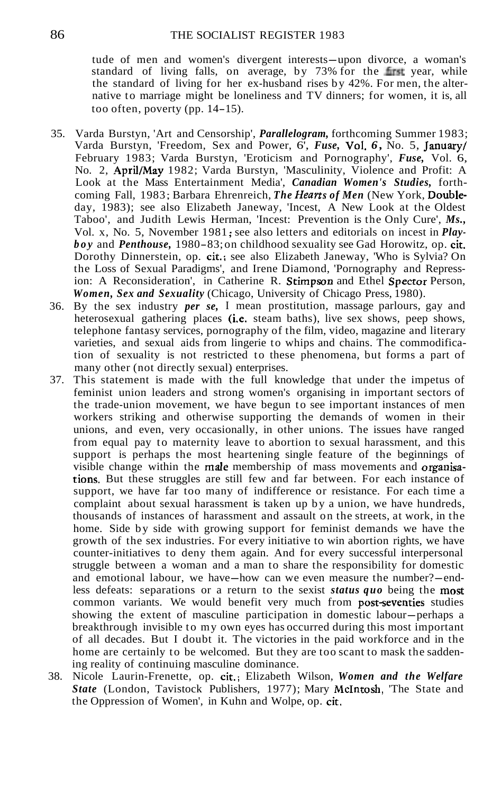tude of men and women's divergent interests-upon divorce, a woman's standard of living falls, on average, by  $73\%$  for the  $\frac{1}{2}$  year, while the standard of living for her ex-husband rises by 42%. For men, the alternative to marriage might be loneliness and TV dinners; for women, it is, all too often, poverty (pp. 14-15).

- 35. Varda Burstyn, 'Art and Censorship', *Parallelogram,* forthcoming Summer 1983; Varda Burstyn, 'Freedom, Sex and Power, 6', *Fuse,* Vol. *6,* No. 5, January/ February 1983; Varda Burstyn, 'Eroticism and Pornography', *Fuse,* Vol. 6, No. 2, April/May 1982; Varda Burstyn, 'Masculinity, Violence and Profit: A Look at the Mass Entertainment Media', *Canadian Women's Studies,* forthcoming Fall, 1983 ; Barbara Ehrenreich, *The Hearts of Men* (New York, Doubleday, 1983); see also Elizabeth Janeway, 'Incest, A New Look at the Oldest Taboo', and Judith Lewis Herman, 'Incest: Prevention is the Only Cure', *Ms.,*  Vol. x, No. 5, November 1981 ; see also letters and editorials on incest in *Playboy* and *Penthouse,* 1980-83; on childhood sexuality see Gad Horowitz, op. cit. Dorothy Dinnerstein, op. cit.; see also Elizabeth Janeway, 'Who is Sylvia? On the Loss of Sexual Paradigms', and Irene Diamond, 'Pornography and Repression: A Reconsideration', in Catherine R. Stimpson and Ethel Spector Person, *Women, Sex and Sexuality* (Chicago, University of Chicago Press, 1980).
- 36. By the sex industry *per se,* I mean prostitution, massage parlours, gay and heterosexual gathering places (i.e. steam baths), live sex shows, peep shows, telephone fantasy services, pornography of the film, video, magazine and literary varieties, and sexual aids from lingerie to whips and chains. The commodification of sexuality is not restricted to these phenomena, but forms a part of many other (not directly sexual) enterprises.
- 37. This statement is made with the full knowledge that under the impetus of feminist union leaders and strong women's organising in important sectors of the trade-union movement, we have begun to see important instances of men workers striking and otherwise supporting the demands of women in their unions, and even, very occasionally, in other unions. The issues have ranged from equal pay to maternity leave to abortion to sexual harassment, and this support is perhaps the most heartening single feature of the beginnings of visible change within the male membership of mass movements and organisations. But these struggles are still few and far between. For each instance of support, we have far too many of indifference or resistance. For each time a complaint about sexual harassment is taken up by a union, we have hundreds, thousands of instances of harassment and assault on the streets, at work, in the home. Side by side with growing support for feminist demands we have the growth of the sex industries. For every initiative to win abortion rights, we have counter-initiatives to deny them again. And for every successful interpersonal struggle between a woman and a man to share the responsibility for domestic and emotional labour, we have-how can we even measure the number?-endless defeats: separations or a return to the sexist *status quo* being the most common variants. We would benefit very much from post-seventies studies showing the extent of masculine participation in domestic labour-perhaps a breakthrough invisible to my own eyes has occurred during this most important of all decades. But I doubt it. The victories in the paid workforce and in the home are certainly to be welcomed. But they are too scant to mask the saddening reality of continuing masculine dominance.
- 38. Nicole Laurin-Frenette, op. cit.; Elizabeth Wilson, *Women and the Welfare State* (London, Tavistock Publishers, 1977); Mary McIntosh, 'The State and the Oppression of Women', in Kuhn and Wolpe, op. cit.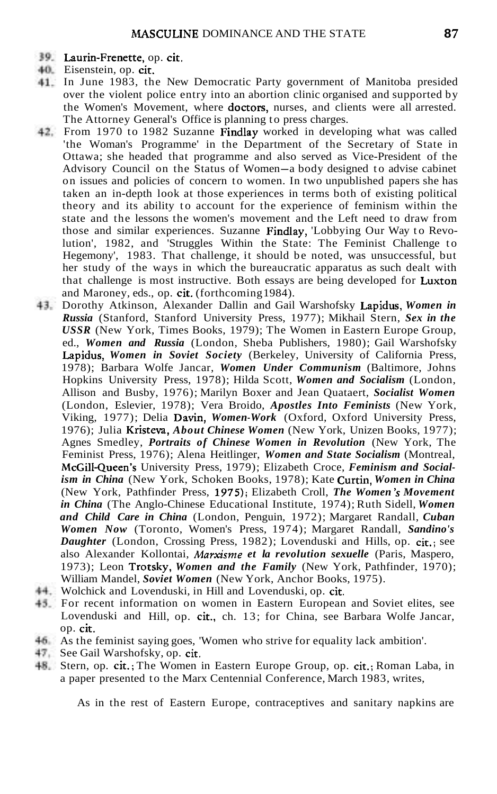- Laurin-Frenette, op. cit.
- Eisenstein, op. cit.
- In June 1983, the New Democratic Party government of Manitoba presided over the violent police entry into an abortion clinic organised and supported by the Women's Movement, where doctors, nurses, and clients were all arrested. The Attorney General's Office is planning to press charges.
- From 1970 to 1982 Suzanne Findlay worked in developing what was called 'the Woman's Programme' in the Department of the Secretary of State in Ottawa; she headed that programme and also served as Vice-President of the Advisory Council on the Status of Women-a body designed to advise cabinet on issues and policies of concern to women. In two unpublished papers she has taken an in-depth look at those experiences in terms both of existing political theory and its ability to account for the experience of feminism within the state and the lessons the women's movement and the Left need to draw from those and similar experiences. Suzanne Findlay, 'Lobbying Our Way to Revolution', 1982, and 'Struggles Within the State: The Feminist Challenge to Hegemony', 1983. That challenge, it should be noted, was unsuccessful, but her study of the ways in which the bureaucratic apparatus as such dealt with that challenge is most instructive. Both essays are being developed for Luxton and Maroney, eds., op. cit. (forthcoming 1984).
- Dorothy Atkinson, Alexander Dallin and Gail Warshofsky Lapidus, *Women in Russia* (Stanford, Stanford University Press, 1977); Mikhail Stern, *Sex in the USSR* (New York, Times Books, 1979); The Women in Eastern Europe Group, ed., *Women and Russia* (London, Sheba Publishers, 1980); Gail Warshofsky Lapidus, *Women in Soviet Society* (Berkeley, University of California Press, 1978); Barbara Wolfe Jancar, *Women Under Communism* (Baltimore, Johns Hopkins University Press, 1978); Hilda Scott, *Women and Socialism* (London, Allison and Busby, 1976); Marilyn Boxer and Jean Quataert, *Socialist Women*  (London, Eslevier, 1978); Vera Broido, *Apostles Into Feminists* (New York, Viking, 1977); Delia Davin, *Women-Work* (Oxford, Oxford University Press, 1976); Julia Kristeva, *About Chinese Women* (New York, Unizen Books, 1977); Agnes Smedley, *Portraits of Chinese Women in Revolution* (New York, The Feminist Press, 1976); Alena Heitlinger, *Women and State Socialism* (Montreal, McGill-Queen's University Press, 1979); Elizabeth Croce, *Feminism and Socialism in China* (New York, Schoken Books, 1978); Kate Curtin, *Women in China*  (New York, Pathfinder Press, 1975); Elizabeth Croll, *The Women's Movement in China* (The Anglo-Chinese Educational Institute, 1974); Ruth Sidell, *Women and Child Care in China* (London, Penguin, 1972); Margaret Randall, *Cuban Women Now* (Toronto, Women's Press, 1974); Margaret Randall, *Sandino's Daughter* (London, Crossing Press, 1982); Lovenduski and Hills, op. cit.; see also Alexander Kollontai, *Marxisme et la revolution sexuelle* (Paris, Maspero, 1973); Leon Trotsky, *Women and the Family* (New York, Pathfinder, 1970); William Mandel, *Soviet Women* (New York, Anchor Books, 1975).
- Wolchick and Lovenduski, in Hill and Lovenduski, op. cit.
- For recent information on women in Eastern European and Soviet elites, see Lovenduski and Hill, op. cit., ch. 13; for China, see Barbara Wolfe Jancar, op. cit.
- As the feminist saying goes, 'Women who strive for equality lack ambition'.
- 47 See Gail Warshofsky, op. cit.
- Stern, op. cit.; The Women in Eastern Europe Group, op. cit.; Roman Laba, in a paper presented to the Marx Centennial Conference, March 1983, writes,

As in the rest of Eastern Europe, contraceptives and sanitary napkins are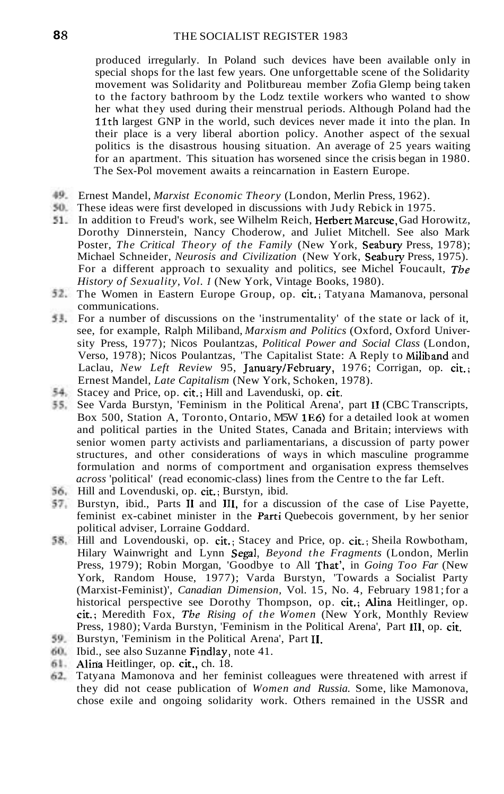produced irregularly. In Poland such devices have been available only in special shops for the last few years. One unforgettable scene of the Solidarity movement was Solidarity and Politbureau member Zofia Glemp being taken to the factory bathroom by the Lodz textile workers who wanted to show her what they used during their menstrual periods. Although Poland had the 11th largest GNP in the world, such devices never made it into the plan. In their place is a very liberal abortion policy. Another aspect of the sexual politics is the disastrous housing situation. An average of 25 years waiting for an apartment. This situation has worsened since the crisis began in 1980. The Sex-Pol movement awaits a reincarnation in Eastern Europe.

- Ernest Mandel, *Marxist Economic Theory* (London, Merlin Press, 1962).
- These ideas were first developed in discussions with Judy Rebick in 1975.
- **II.** In addition to Freud's work, see Wilhelm Reich, Herbert Marcuse, Gad Horowitz, Dorothy Dinnerstein, Nancy Choderow, and Juliet Mitchell. See also Mark Poster, *The Critical Theory of the Family* (New York, Seabury Press, 1978); Michael Schneider, *Neurosis and Civilization* (New York, Seabury Press, 1975). For a different approach to sexuality and politics, see Michel Foucault, *The History of Sexuality, Vol. I* (New York, Vintage Books, 1980).
- The Women in Eastern Europe Group, op. cit.; Tatyana Mamanova, personal communications.
- For a number of discussions on the 'instrumentality' of the state or lack of it, see, for example, Ralph Miliband, *Marxism and Politics* (Oxford, Oxford University Press, 1977); Nicos Poulantzas, *Political Power and Social Class* (London, Verso, 1978); Nicos Poulantzas, 'The Capitalist State: A Reply to Miliband and Laclau, *New Left Review* 95, January/February, 1976; Corrigan, op. cit.; Ernest Mandel, *Late Capitalism* (New York, Schoken, 1978).
- Stacey and Price, op. cit.; Hill and Lavenduski, op. cit.
- See Varda Burstyn, 'Feminism in the Political Arena', part I1 (CBC Transcripts, Box 500, Station A, Toronto, Ontario, M5W 1E6) for a detailed look at women and political parties in the United States, Canada and Britain; interviews with senior women party activists and parliamentarians, a discussion of party power structures, and other considerations of ways in which masculine programme formulation and norms of comportment and organisation express themselves *across* 'political' (read economic-class) lines from the Centre to the far Left.
- Hill and Lovenduski, op. cit.; Burstyn, ibid.
- Burstyn, ibid., Parts I1 and 111, for a discussion of the case of Lise Payette, feminist ex-cabinet minister in the Parti Quebecois government, by her senior political adviser, Lorraine Goddard.
- **58.** Hill and Lovendouski, op. cit.; Stacey and Price, op. cit.; Sheila Rowbotham, Hilary Wainwright and Lynn Segal, *Beyond the Fragments* (London, Merlin Press, 1979); Robin Morgan, 'Goodbye to All That', in *Going Too Far* (New York, Random House, 1977); Varda Burstyn, 'Towards a Socialist Party (Marxist-Feminist)', *Canadian Dimension,* Vol. 15, No. 4, February 1981; for a historical perspective see Dorothy Thompson, op. cit.; Alina Heitlinger, op. cit.; Meredith Fox, *The Rising of the Women* (New York, Monthly Review Press, 1980); Varda Burstyn, 'Feminism in the Political Arena', Part 111, op. cit.
- Burstyn, 'Feminism in the Political Arena', Part 11.
- Ibid., see also Suzanne Findlay, note 41.
- **61.** Alina Heitlinger, op. cit., ch. 18.
- Tatyana Mamonova and her feminist colleagues were threatened with arrest if they did not cease publication of *Women and Russia.* Some, like Mamonova, chose exile and ongoing solidarity work. Others remained in the USSR and